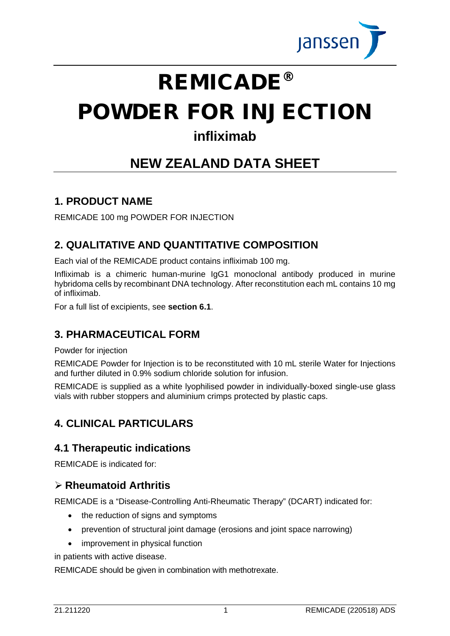

# REMICADE®

# POWDER FOR INJECTION

# **infliximab**

# **NEW ZEALAND DATA SHEET**

## **1. PRODUCT NAME**

REMICADE 100 mg POWDER FOR INJECTION

# **2. QUALITATIVE AND QUANTITATIVE COMPOSITION**

Each vial of the REMICADE product contains infliximab 100 mg.

Infliximab is a chimeric human-murine IgG1 monoclonal antibody produced in murine hybridoma cells by recombinant DNA technology. After reconstitution each mL contains 10 mg of infliximab.

For a full list of excipients, see **section 6.1**.

# **3. PHARMACEUTICAL FORM**

Powder for injection

REMICADE Powder for Injection is to be reconstituted with 10 mL sterile Water for Injections and further diluted in 0.9% sodium chloride solution for infusion.

REMICADE is supplied as a white lyophilised powder in individually-boxed single-use glass vials with rubber stoppers and aluminium crimps protected by plastic caps.

# **4. CLINICAL PARTICULARS**

## **4.1 Therapeutic indications**

REMICADE is indicated for:

## **Rheumatoid Arthritis**

REMICADE is a "Disease-Controlling Anti-Rheumatic Therapy" (DCART) indicated for:

- the reduction of signs and symptoms
- prevention of structural joint damage (erosions and joint space narrowing)
- improvement in physical function

in patients with active disease.

REMICADE should be given in combination with methotrexate.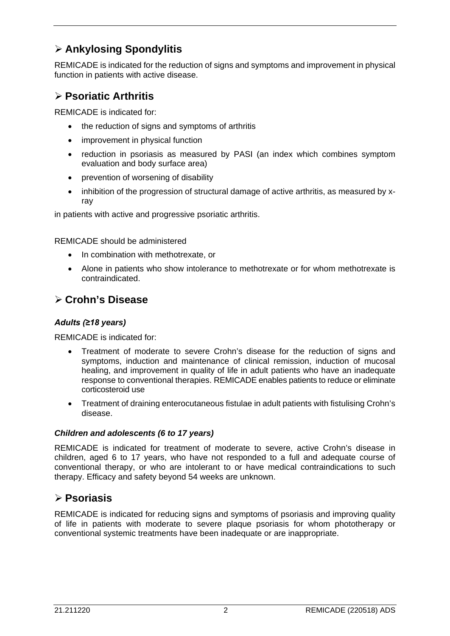# **Ankylosing Spondylitis**

REMICADE is indicated for the reduction of signs and symptoms and improvement in physical function in patients with active disease.

## **Psoriatic Arthritis**

REMICADE is indicated for:

- the reduction of signs and symptoms of arthritis
- improvement in physical function
- reduction in psoriasis as measured by PASI (an index which combines symptom evaluation and body surface area)
- prevention of worsening of disability
- inhibition of the progression of structural damage of active arthritis, as measured by xray

in patients with active and progressive psoriatic arthritis.

REMICADE should be administered

- In combination with methotrexate, or
- Alone in patients who show intolerance to methotrexate or for whom methotrexate is contraindicated.

## **Crohn's Disease**

#### *Adults (≥18 years)*

REMICADE is indicated for:

- Treatment of moderate to severe Crohn's disease for the reduction of signs and symptoms, induction and maintenance of clinical remission, induction of mucosal healing, and improvement in quality of life in adult patients who have an inadequate response to conventional therapies. REMICADE enables patients to reduce or eliminate corticosteroid use
- Treatment of draining enterocutaneous fistulae in adult patients with fistulising Crohn's disease.

#### *Children and adolescents (6 to 17 years)*

REMICADE is indicated for treatment of moderate to severe, active Crohn's disease in children, aged 6 to 17 years, who have not responded to a full and adequate course of conventional therapy, or who are intolerant to or have medical contraindications to such therapy. Efficacy and safety beyond 54 weeks are unknown.

## **Psoriasis**

REMICADE is indicated for reducing signs and symptoms of psoriasis and improving quality of life in patients with moderate to severe plaque psoriasis for whom phototherapy or conventional systemic treatments have been inadequate or are inappropriate.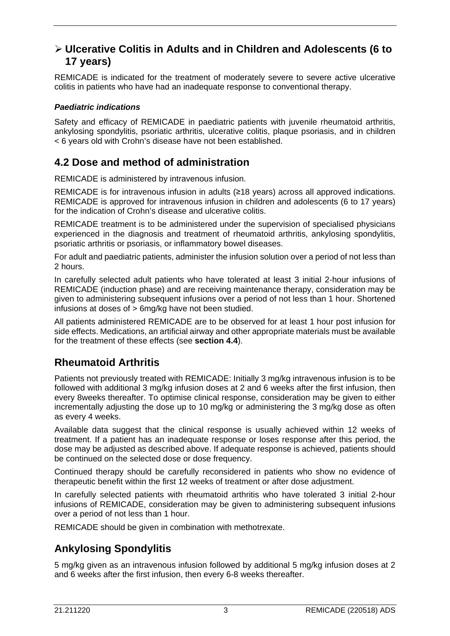## **Ulcerative Colitis in Adults and in Children and Adolescents (6 to 17 years)**

REMICADE is indicated for the treatment of moderately severe to severe active ulcerative colitis in patients who have had an inadequate response to conventional therapy.

#### *Paediatric indications*

Safety and efficacy of REMICADE in paediatric patients with juvenile rheumatoid arthritis, ankylosing spondylitis, psoriatic arthritis, ulcerative colitis, plaque psoriasis, and in children < 6 years old with Crohn's disease have not been established.

# **4.2 Dose and method of administration**

REMICADE is administered by intravenous infusion.

REMICADE is for intravenous infusion in adults (≥18 years) across all approved indications. REMICADE is approved for intravenous infusion in children and adolescents (6 to 17 years) for the indication of Crohn's disease and ulcerative colitis.

REMICADE treatment is to be administered under the supervision of specialised physicians experienced in the diagnosis and treatment of rheumatoid arthritis, ankylosing spondylitis, psoriatic arthritis or psoriasis, or inflammatory bowel diseases.

For adult and paediatric patients, administer the infusion solution over a period of not less than 2 hours.

In carefully selected adult patients who have tolerated at least 3 initial 2-hour infusions of REMICADE (induction phase) and are receiving maintenance therapy, consideration may be given to administering subsequent infusions over a period of not less than 1 hour. Shortened infusions at doses of > 6mg/kg have not been studied.

All patients administered REMICADE are to be observed for at least 1 hour post infusion for side effects. Medications, an artificial airway and other appropriate materials must be available for the treatment of these effects (see **section 4.4**).

# **Rheumatoid Arthritis**

Patients not previously treated with REMICADE: Initially 3 mg/kg intravenous infusion is to be followed with additional 3 mg/kg infusion doses at 2 and 6 weeks after the first infusion, then every 8weeks thereafter. To optimise clinical response, consideration may be given to either incrementally adjusting the dose up to 10 mg/kg or administering the 3 mg/kg dose as often as every 4 weeks.

Available data suggest that the clinical response is usually achieved within 12 weeks of treatment. If a patient has an inadequate response or loses response after this period, the dose may be adjusted as described above. If adequate response is achieved, patients should be continued on the selected dose or dose frequency.

Continued therapy should be carefully reconsidered in patients who show no evidence of therapeutic benefit within the first 12 weeks of treatment or after dose adjustment.

In carefully selected patients with rheumatoid arthritis who have tolerated 3 initial 2-hour infusions of REMICADE, consideration may be given to administering subsequent infusions over a period of not less than 1 hour.

REMICADE should be given in combination with methotrexate.

# **Ankylosing Spondylitis**

5 mg/kg given as an intravenous infusion followed by additional 5 mg/kg infusion doses at 2 and 6 weeks after the first infusion, then every 6-8 weeks thereafter.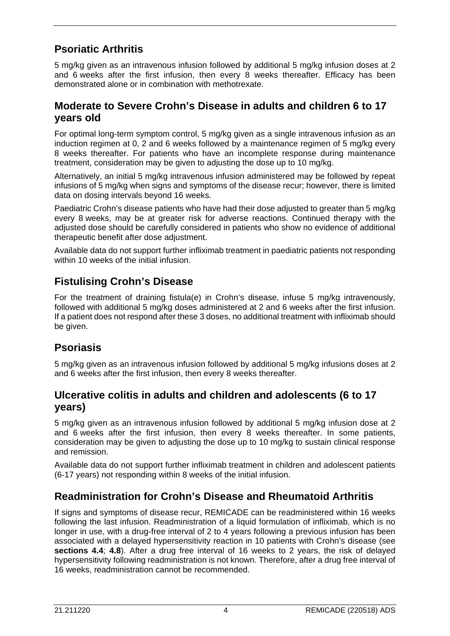# **Psoriatic Arthritis**

5 mg/kg given as an intravenous infusion followed by additional 5 mg/kg infusion doses at 2 and 6 weeks after the first infusion, then every 8 weeks thereafter. Efficacy has been demonstrated alone or in combination with methotrexate.

## **Moderate to Severe Crohn's Disease in adults and children 6 to 17 years old**

For optimal long-term symptom control, 5 mg/kg given as a single intravenous infusion as an induction regimen at 0, 2 and 6 weeks followed by a maintenance regimen of 5 mg/kg every 8 weeks thereafter. For patients who have an incomplete response during maintenance treatment, consideration may be given to adjusting the dose up to 10 mg/kg.

Alternatively, an initial 5 mg/kg intravenous infusion administered may be followed by repeat infusions of 5 mg/kg when signs and symptoms of the disease recur; however, there is limited data on dosing intervals beyond 16 weeks.

Paediatric Crohn's disease patients who have had their dose adjusted to greater than 5 mg/kg every 8 weeks, may be at greater risk for adverse reactions. Continued therapy with the adjusted dose should be carefully considered in patients who show no evidence of additional therapeutic benefit after dose adjustment.

Available data do not support further infliximab treatment in paediatric patients not responding within 10 weeks of the initial infusion.

# **Fistulising Crohn's Disease**

For the treatment of draining fistula(e) in Crohn's disease, infuse 5 mg/kg intravenously, followed with additional 5 mg/kg doses administered at 2 and 6 weeks after the first infusion. If a patient does not respond after these 3 doses, no additional treatment with infliximab should be given.

# **Psoriasis**

5 mg/kg given as an intravenous infusion followed by additional 5 mg/kg infusions doses at 2 and 6 weeks after the first infusion, then every 8 weeks thereafter.

#### **Ulcerative colitis in adults and children and adolescents (6 to 17 years)**

5 mg/kg given as an intravenous infusion followed by additional 5 mg/kg infusion dose at 2 and 6 weeks after the first infusion, then every 8 weeks thereafter. In some patients, consideration may be given to adjusting the dose up to 10 mg/kg to sustain clinical response and remission.

Available data do not support further infliximab treatment in children and adolescent patients (6-17 years) not responding within 8 weeks of the initial infusion.

# **Readministration for Crohn's Disease and Rheumatoid Arthritis**

If signs and symptoms of disease recur, REMICADE can be readministered within 16 weeks following the last infusion. Readministration of a liquid formulation of infliximab, which is no longer in use, with a drug-free interval of 2 to 4 years following a previous infusion has been associated with a delayed hypersensitivity reaction in 10 patients with Crohn's disease (see **sections 4.4**; **4.8**). After a drug free interval of 16 weeks to 2 years, the risk of delayed hypersensitivity following readministration is not known. Therefore, after a drug free interval of 16 weeks, readministration cannot be recommended.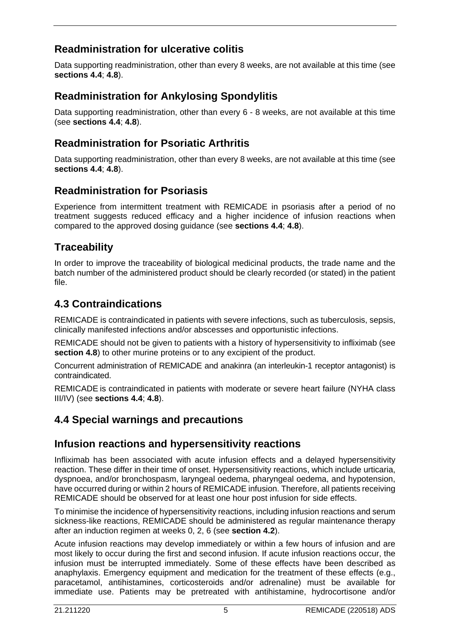# **Readministration for ulcerative colitis**

Data supporting readministration, other than every 8 weeks, are not available at this time (see **sections 4.4**; **4.8**).

## **Readministration for Ankylosing Spondylitis**

Data supporting readministration, other than every 6 - 8 weeks, are not available at this time (see **sections 4.4**; **4.8**).

## **Readministration for Psoriatic Arthritis**

Data supporting readministration, other than every 8 weeks, are not available at this time (see **sections 4.4**; **4.8**).

## **Readministration for Psoriasis**

Experience from intermittent treatment with REMICADE in psoriasis after a period of no treatment suggests reduced efficacy and a higher incidence of infusion reactions when compared to the approved dosing guidance (see **sections 4.4**; **4.8**).

# **Traceability**

In order to improve the traceability of biological medicinal products, the trade name and the batch number of the administered product should be clearly recorded (or stated) in the patient file.

## **4.3 Contraindications**

REMICADE is contraindicated in patients with severe infections, such as tuberculosis, sepsis, clinically manifested infections and/or abscesses and opportunistic infections.

REMICADE should not be given to patients with a history of hypersensitivity to infliximab (see **section 4.8**) to other murine proteins or to any excipient of the product.

Concurrent administration of REMICADE and anakinra (an interleukin-1 receptor antagonist) is contraindicated.

REMICADE is contraindicated in patients with moderate or severe heart failure (NYHA class III/IV) (see **sections 4.4**; **4.8**).

## **4.4 Special warnings and precautions**

#### **Infusion reactions and hypersensitivity reactions**

Infliximab has been associated with acute infusion effects and a delayed hypersensitivity reaction. These differ in their time of onset. Hypersensitivity reactions, which include urticaria, dyspnoea, and/or bronchospasm, laryngeal oedema, pharyngeal oedema, and hypotension, have occurred during or within 2 hours of REMICADE infusion. Therefore, all patients receiving REMICADE should be observed for at least one hour post infusion for side effects.

To minimise the incidence of hypersensitivity reactions, including infusion reactions and serum sickness-like reactions, REMICADE should be administered as regular maintenance therapy after an induction regimen at weeks 0, 2, 6 (see **section 4.2**).

Acute infusion reactions may develop immediately or within a few hours of infusion and are most likely to occur during the first and second infusion. If acute infusion reactions occur, the infusion must be interrupted immediately. Some of these effects have been described as anaphylaxis. Emergency equipment and medication for the treatment of these effects (e.g., paracetamol, antihistamines, corticosteroids and/or adrenaline) must be available for immediate use. Patients may be pretreated with antihistamine, hydrocortisone and/or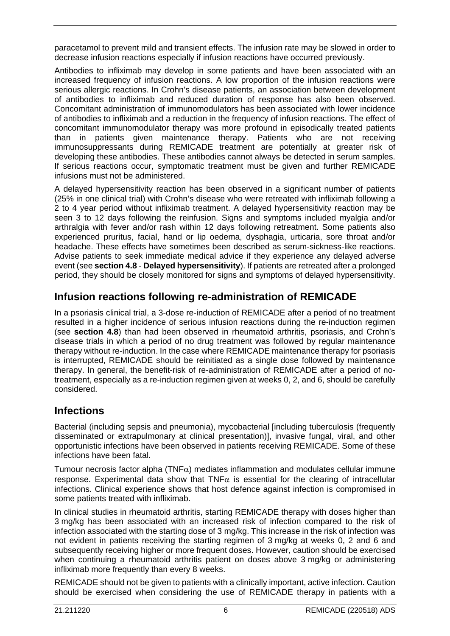paracetamol to prevent mild and transient effects. The infusion rate may be slowed in order to decrease infusion reactions especially if infusion reactions have occurred previously.

Antibodies to infliximab may develop in some patients and have been associated with an increased frequency of infusion reactions. A low proportion of the infusion reactions were serious allergic reactions. In Crohn's disease patients, an association between development of antibodies to infliximab and reduced duration of response has also been observed. Concomitant administration of immunomodulators has been associated with lower incidence of antibodies to infliximab and a reduction in the frequency of infusion reactions. The effect of concomitant immunomodulator therapy was more profound in episodically treated patients than in patients given maintenance therapy. Patients who are not receiving immunosuppressants during REMICADE treatment are potentially at greater risk of developing these antibodies. These antibodies cannot always be detected in serum samples. If serious reactions occur, symptomatic treatment must be given and further REMICADE infusions must not be administered.

A delayed hypersensitivity reaction has been observed in a significant number of patients (25% in one clinical trial) with Crohn's disease who were retreated with infliximab following a 2 to 4 year period without infliximab treatment. A delayed hypersensitivity reaction may be seen 3 to 12 days following the reinfusion. Signs and symptoms included myalgia and/or arthralgia with fever and/or rash within 12 days following retreatment. Some patients also experienced pruritus, facial, hand or lip oedema, dysphagia, urticaria, sore throat and/or headache. These effects have sometimes been described as serum-sickness-like reactions. Advise patients to seek immediate medical advice if they experience any delayed adverse event (see **section 4.8** - **Delayed hypersensitivity**). If patients are retreated after a prolonged period, they should be closely monitored for signs and symptoms of delayed hypersensitivity.

# **Infusion reactions following re-administration of REMICADE**

In a psoriasis clinical trial, a 3-dose re-induction of REMICADE after a period of no treatment resulted in a higher incidence of serious infusion reactions during the re-induction regimen (see **section 4.8**) than had been observed in rheumatoid arthritis, psoriasis, and Crohn's disease trials in which a period of no drug treatment was followed by regular maintenance therapy without re-induction. In the case where REMICADE maintenance therapy for psoriasis is interrupted, REMICADE should be reinitiated as a single dose followed by maintenance therapy. In general, the benefit-risk of re-administration of REMICADE after a period of notreatment, especially as a re-induction regimen given at weeks 0, 2, and 6, should be carefully considered.

## **Infections**

Bacterial (including sepsis and pneumonia), mycobacterial [including tuberculosis (frequently disseminated or extrapulmonary at clinical presentation)], invasive fungal, viral, and other opportunistic infections have been observed in patients receiving REMICADE. Some of these infections have been fatal.

Tumour necrosis factor alpha (TNF $\alpha$ ) mediates inflammation and modulates cellular immune response. Experimental data show that TNF $\alpha$  is essential for the clearing of intracellular infections. Clinical experience shows that host defence against infection is compromised in some patients treated with infliximab.

In clinical studies in rheumatoid arthritis, starting REMICADE therapy with doses higher than 3 mg/kg has been associated with an increased risk of infection compared to the risk of infection associated with the starting dose of 3 mg/kg. This increase in the risk of infection was not evident in patients receiving the starting regimen of 3 mg/kg at weeks 0, 2 and 6 and subsequently receiving higher or more frequent doses. However, caution should be exercised when continuing a rheumatoid arthritis patient on doses above 3 mg/kg or administering infliximab more frequently than every 8 weeks.

REMICADE should not be given to patients with a clinically important, active infection. Caution should be exercised when considering the use of REMICADE therapy in patients with a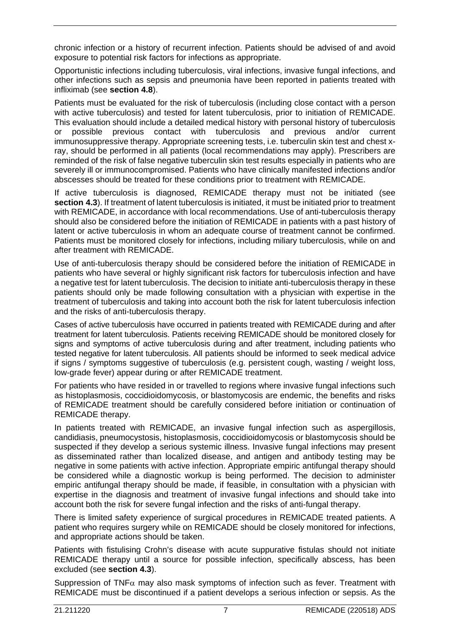chronic infection or a history of recurrent infection. Patients should be advised of and avoid exposure to potential risk factors for infections as appropriate.

Opportunistic infections including tuberculosis, viral infections, invasive fungal infections, and other infections such as sepsis and pneumonia have been reported in patients treated with infliximab (see **section 4.8**).

Patients must be evaluated for the risk of tuberculosis (including close contact with a person with active tuberculosis) and tested for latent tuberculosis, prior to initiation of REMICADE. This evaluation should include a detailed medical history with personal history of tuberculosis or possible previous contact with tuberculosis and previous and/or current immunosuppressive therapy. Appropriate screening tests, i.e. tuberculin skin test and chest xray, should be performed in all patients (local recommendations may apply). Prescribers are reminded of the risk of false negative tuberculin skin test results especially in patients who are severely ill or immunocompromised. Patients who have clinically manifested infections and/or abscesses should be treated for these conditions prior to treatment with REMICADE.

If active tuberculosis is diagnosed, REMICADE therapy must not be initiated (see **section 4.3**). If treatment of latent tuberculosis is initiated, it must be initiated prior to treatment with REMICADE, in accordance with local recommendations. Use of anti-tuberculosis therapy should also be considered before the initiation of REMICADE in patients with a past history of latent or active tuberculosis in whom an adequate course of treatment cannot be confirmed. Patients must be monitored closely for infections, including miliary tuberculosis, while on and after treatment with REMICADE.

Use of anti-tuberculosis therapy should be considered before the initiation of REMICADE in patients who have several or highly significant risk factors for tuberculosis infection and have a negative test for latent tuberculosis. The decision to initiate anti-tuberculosis therapy in these patients should only be made following consultation with a physician with expertise in the treatment of tuberculosis and taking into account both the risk for latent tuberculosis infection and the risks of anti-tuberculosis therapy.

Cases of active tuberculosis have occurred in patients treated with REMICADE during and after treatment for latent tuberculosis. Patients receiving REMICADE should be monitored closely for signs and symptoms of active tuberculosis during and after treatment, including patients who tested negative for latent tuberculosis. All patients should be informed to seek medical advice if signs / symptoms suggestive of tuberculosis (e.g. persistent cough, wasting / weight loss, low-grade fever) appear during or after REMICADE treatment.

For patients who have resided in or travelled to regions where invasive fungal infections such as histoplasmosis, coccidioidomycosis, or blastomycosis are endemic, the benefits and risks of REMICADE treatment should be carefully considered before initiation or continuation of REMICADE therapy.

In patients treated with REMICADE, an invasive fungal infection such as aspergillosis, candidiasis, pneumocystosis, histoplasmosis, coccidioidomycosis or blastomycosis should be suspected if they develop a serious systemic illness. Invasive fungal infections may present as disseminated rather than localized disease, and antigen and antibody testing may be negative in some patients with active infection. Appropriate empiric antifungal therapy should be considered while a diagnostic workup is being performed. The decision to administer empiric antifungal therapy should be made, if feasible, in consultation with a physician with expertise in the diagnosis and treatment of invasive fungal infections and should take into account both the risk for severe fungal infection and the risks of anti-fungal therapy.

There is limited safety experience of surgical procedures in REMICADE treated patients. A patient who requires surgery while on REMICADE should be closely monitored for infections, and appropriate actions should be taken.

Patients with fistulising Crohn's disease with acute suppurative fistulas should not initiate REMICADE therapy until a source for possible infection, specifically abscess, has been excluded (see **section 4.3**).

Suppression of TNF $\alpha$  may also mask symptoms of infection such as fever. Treatment with REMICADE must be discontinued if a patient develops a serious infection or sepsis. As the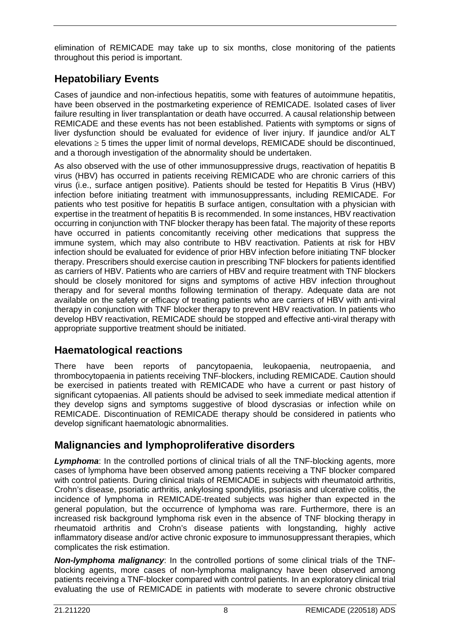elimination of REMICADE may take up to six months, close monitoring of the patients throughout this period is important.

# **Hepatobiliary Events**

Cases of jaundice and non-infectious hepatitis, some with features of autoimmune hepatitis, have been observed in the postmarketing experience of REMICADE. Isolated cases of liver failure resulting in liver transplantation or death have occurred. A causal relationship between REMICADE and these events has not been established. Patients with symptoms or signs of liver dysfunction should be evaluated for evidence of liver injury. If jaundice and/or ALT elevations  $\geq$  5 times the upper limit of normal develops, REMICADE should be discontinued, and a thorough investigation of the abnormality should be undertaken.

As also observed with the use of other immunosuppressive drugs, reactivation of hepatitis B virus (HBV) has occurred in patients receiving REMICADE who are chronic carriers of this virus (i.e., surface antigen positive). Patients should be tested for Hepatitis B Virus (HBV) infection before initiating treatment with immunosuppressants, including REMICADE. For patients who test positive for hepatitis B surface antigen, consultation with a physician with expertise in the treatment of hepatitis B is recommended. In some instances, HBV reactivation occurring in conjunction with TNF blocker therapy has been fatal. The majority of these reports have occurred in patients concomitantly receiving other medications that suppress the immune system, which may also contribute to HBV reactivation. Patients at risk for HBV infection should be evaluated for evidence of prior HBV infection before initiating TNF blocker therapy. Prescribers should exercise caution in prescribing TNF blockers for patients identified as carriers of HBV. Patients who are carriers of HBV and require treatment with TNF blockers should be closely monitored for signs and symptoms of active HBV infection throughout therapy and for several months following termination of therapy. Adequate data are not available on the safety or efficacy of treating patients who are carriers of HBV with anti-viral therapy in conjunction with TNF blocker therapy to prevent HBV reactivation. In patients who develop HBV reactivation, REMICADE should be stopped and effective anti-viral therapy with appropriate supportive treatment should be initiated.

# **Haematological reactions**

There have been reports of pancytopaenia, leukopaenia, neutropaenia, and thrombocytopaenia in patients receiving TNF-blockers, including REMICADE. Caution should be exercised in patients treated with REMICADE who have a current or past history of significant cytopaenias. All patients should be advised to seek immediate medical attention if they develop signs and symptoms suggestive of blood dyscrasias or infection while on REMICADE. Discontinuation of REMICADE therapy should be considered in patients who develop significant haematologic abnormalities.

# **Malignancies and lymphoproliferative disorders**

**Lymphoma:** In the controlled portions of clinical trials of all the TNF-blocking agents, more cases of lymphoma have been observed among patients receiving a TNF blocker compared with control patients. During clinical trials of REMICADE in subjects with rheumatoid arthritis, Crohn's disease, psoriatic arthritis, ankylosing spondylitis, psoriasis and ulcerative colitis, the incidence of lymphoma in REMICADE-treated subjects was higher than expected in the general population, but the occurrence of lymphoma was rare. Furthermore, there is an increased risk background lymphoma risk even in the absence of TNF blocking therapy in rheumatoid arthritis and Crohn's disease patients with longstanding, highly active inflammatory disease and/or active chronic exposure to immunosuppressant therapies, which complicates the risk estimation.

*Non-lymphoma malignancy*: In the controlled portions of some clinical trials of the TNFblocking agents, more cases of non-lymphoma malignancy have been observed among patients receiving a TNF-blocker compared with control patients. In an exploratory clinical trial evaluating the use of REMICADE in patients with moderate to severe chronic obstructive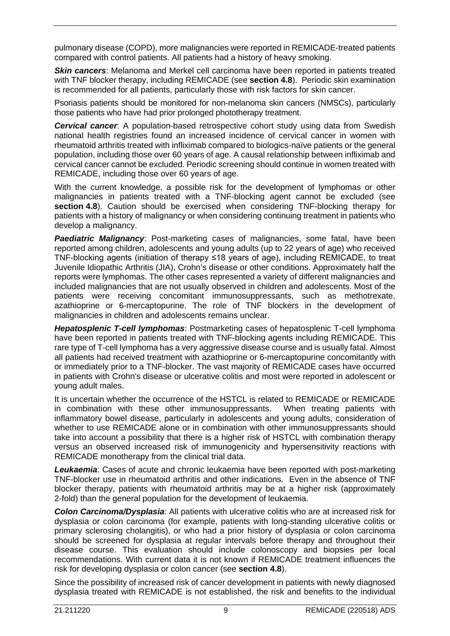pulmonary disease (COPD), more malignancies were reported in REMICADE-treated patients compared with control patients. All patients had a history of heavy smoking.

**Skin cancers:** Melanoma and Merkel cell carcinoma have been reported in patients treated with TNF blocker therapy, including REMICADE (see **section 4.8**). Periodic skin examination is recommended for all patients, particularly those with risk factors for skin cancer.

Psoriasis patients should be monitored for non-melanoma skin cancers (NMSCs), particularly those patients who have had prior prolonged phototherapy treatment.

*Cervical cancer*: A population-based retrospective cohort study using data from Swedish national health registries found an increased incidence of cervical cancer in women with rheumatoid arthritis treated with infliximab compared to biologics-naïve patients or the general population, including those over 60 years of age. A causal relationship between infliximab and cervical cancer cannot be excluded. Periodic screening should continue in women treated with REMICADE, including those over 60 years of age.

With the current knowledge, a possible risk for the development of lymphomas or other malignancies in patients treated with a TNF-blocking agent cannot be excluded (see **section 4.8**). Caution should be exercised when considering TNF-blocking therapy for patients with a history of malignancy or when considering continuing treatment in patients who develop a malignancy.

*Paediatric Malignancy*: Post-marketing cases of malignancies, some fatal, have been reported among children, adolescents and young adults (up to 22 years of age) who received TNF-blocking agents (initiation of therapy ≤18 years of age), including REMICADE, to treat Juvenile Idiopathic Arthritis (JIA), Crohn's disease or other conditions. Approximately half the reports were lymphomas. The other cases represented a variety of different malignancies and included malignancies that are not usually observed in children and adolescents. Most of the patients were receiving concomitant immunosuppressants, such as methotrexate, azathioprine or 6-mercaptopurine. The role of TNF blockers in the development of malignancies in children and adolescents remains unclear.

*Hepatosplenic T-cell lymphomas*: Postmarketing cases of hepatosplenic T-cell lymphoma have been reported in patients treated with TNF-blocking agents including REMICADE. This rare type of T-cell lymphoma has a very aggressive disease course and is usually fatal. Almost all patients had received treatment with azathioprine or 6-mercaptopurine concomitantly with or immediately prior to a TNF-blocker. The vast majority of REMICADE cases have occurred in patients with Crohn's disease or ulcerative colitis and most were reported in adolescent or young adult males.

It is uncertain whether the occurrence of the HSTCL is related to REMICADE or REMICADE in combination with these other immunosuppressants. When treating patients with inflammatory bowel disease, particularly in adolescents and young adults, consideration of whether to use REMICADE alone or in combination with other immunosuppressants should take into account a possibility that there is a higher risk of HSTCL with combination therapy versus an observed increased risk of immunogenicity and hypersensitivity reactions with REMICADE monotherapy from the clinical trial data.

*Leukaemia*: Cases of acute and chronic leukaemia have been reported with post-marketing TNF-blocker use in rheumatoid arthritis and other indications. Even in the absence of TNF blocker therapy, patients with rheumatoid arthritis may be at a higher risk (approximately 2-fold) than the general population for the development of leukaemia.

*Colon Carcinoma/Dysplasia*: All patients with ulcerative colitis who are at increased risk for dysplasia or colon carcinoma (for example, patients with long-standing ulcerative colitis or primary sclerosing cholangitis), or who had a prior history of dysplasia or colon carcinoma should be screened for dysplasia at regular intervals before therapy and throughout their disease course. This evaluation should include colonoscopy and biopsies per local recommendations. With current data it is not known if REMICADE treatment influences the risk for developing dysplasia or colon cancer (see **section 4.8**).

Since the possibility of increased risk of cancer development in patients with newly diagnosed dysplasia treated with REMICADE is not established, the risk and benefits to the individual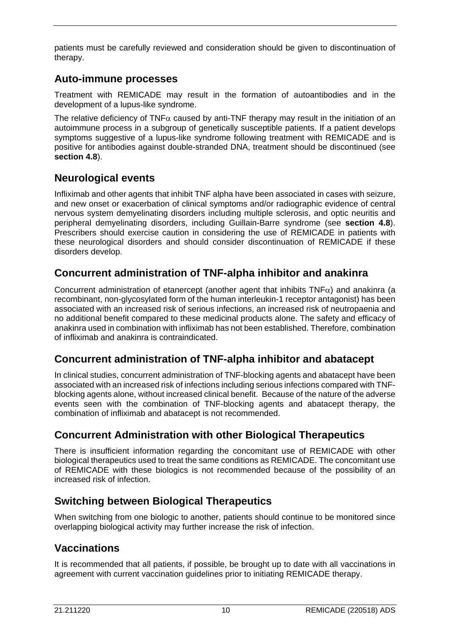patients must be carefully reviewed and consideration should be given to discontinuation of therapy.

## **Auto-immune processes**

Treatment with REMICADE may result in the formation of autoantibodies and in the development of a lupus-like syndrome.

The relative deficiency of TNF $\alpha$  caused by anti-TNF therapy may result in the initiation of an autoimmune process in a subgroup of genetically susceptible patients. If a patient develops symptoms suggestive of a lupus-like syndrome following treatment with REMICADE and is positive for antibodies against double-stranded DNA, treatment should be discontinued (see **section 4.8**).

## **Neurological events**

Infliximab and other agents that inhibit TNF alpha have been associated in cases with seizure, and new onset or exacerbation of clinical symptoms and/or radiographic evidence of central nervous system demyelinating disorders including multiple sclerosis, and optic neuritis and peripheral demyelinating disorders, including Guillain-Barre syndrome (see **section 4.8**). Prescribers should exercise caution in considering the use of REMICADE in patients with these neurological disorders and should consider discontinuation of REMICADE if these disorders develop.

# **Concurrent administration of TNF-alpha inhibitor and anakinra**

Concurrent administration of etanercept (another agent that inhibits  $TNF\alpha$ ) and anakinra (a recombinant, non-glycosylated form of the human interleukin-1 receptor antagonist) has been associated with an increased risk of serious infections, an increased risk of neutropaenia and no additional benefit compared to these medicinal products alone. The safety and efficacy of anakinra used in combination with infliximab has not been established. Therefore, combination of infliximab and anakinra is contraindicated.

# **Concurrent administration of TNF-alpha inhibitor and abatacept**

In clinical studies, concurrent administration of TNF-blocking agents and abatacept have been associated with an increased risk of infections including serious infections compared with TNFblocking agents alone, without increased clinical benefit. Because of the nature of the adverse events seen with the combination of TNF-blocking agents and abatacept therapy, the combination of infliximab and abatacept is not recommended.

# **Concurrent Administration with other Biological Therapeutics**

There is insufficient information regarding the concomitant use of REMICADE with other biological therapeutics used to treat the same conditions as REMICADE. The concomitant use of REMICADE with these biologics is not recommended because of the possibility of an increased risk of infection.

# **Switching between Biological Therapeutics**

When switching from one biologic to another, patients should continue to be monitored since overlapping biological activity may further increase the risk of infection.

# **Vaccinations**

It is recommended that all patients, if possible, be brought up to date with all vaccinations in agreement with current vaccination guidelines prior to initiating REMICADE therapy.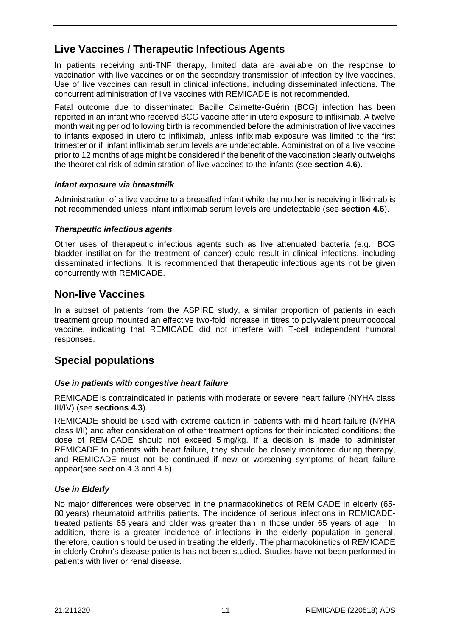# **Live Vaccines / Therapeutic Infectious Agents**

In patients receiving anti-TNF therapy, limited data are available on the response to vaccination with live vaccines or on the secondary transmission of infection by live vaccines. Use of live vaccines can result in clinical infections, including disseminated infections. The concurrent administration of live vaccines with REMICADE is not recommended.

Fatal outcome due to disseminated Bacille Calmette-Guérin (BCG) infection has been reported in an infant who received BCG vaccine after in utero exposure to infliximab. A twelve month waiting period following birth is recommended before the administration of live vaccines to infants exposed in utero to infliximab, unless infliximab exposure was limited to the first trimester or if infant infliximab serum levels are undetectable. Administration of a live vaccine prior to 12 months of age might be considered if the benefit of the vaccination clearly outweighs the theoretical risk of administration of live vaccines to the infants (see **section 4.6**).

#### *Infant exposure via breastmilk*

Administration of a live vaccine to a breastfed infant while the mother is receiving infliximab is not recommended unless infant infliximab serum levels are undetectable (see **section 4.6**).

#### *Therapeutic infectious agents*

Other uses of therapeutic infectious agents such as live attenuated bacteria (e.g., BCG bladder instillation for the treatment of cancer) could result in clinical infections, including disseminated infections. It is recommended that therapeutic infectious agents not be given concurrently with REMICADE.

#### **Non-live Vaccines**

In a subset of patients from the ASPIRE study, a similar proportion of patients in each treatment group mounted an effective two-fold increase in titres to polyvalent pneumococcal vaccine, indicating that REMICADE did not interfere with T-cell independent humoral responses.

## **Special populations**

#### *Use in patients with congestive heart failure*

REMICADE is contraindicated in patients with moderate or severe heart failure (NYHA class III/IV) (see **sections 4.3**).

REMICADE should be used with extreme caution in patients with mild heart failure (NYHA class I/II) and after consideration of other treatment options for their indicated conditions; the dose of REMICADE should not exceed 5 mg/kg. If a decision is made to administer REMICADE to patients with heart failure, they should be closely monitored during therapy, and REMICADE must not be continued if new or worsening symptoms of heart failure appear(see section 4.3 and 4.8).

#### *Use in Elderly*

No major differences were observed in the pharmacokinetics of REMICADE in elderly (65- 80 years) rheumatoid arthritis patients. The incidence of serious infections in REMICADEtreated patients 65 years and older was greater than in those under 65 years of age. In addition, there is a greater incidence of infections in the elderly population in general, therefore, caution should be used in treating the elderly. The pharmacokinetics of REMICADE in elderly Crohn's disease patients has not been studied. Studies have not been performed in patients with liver or renal disease.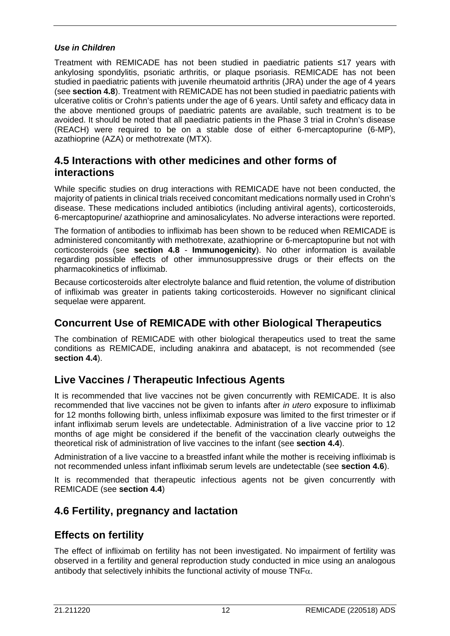#### *Use in Children*

Treatment with REMICADE has not been studied in paediatric patients ≤17 years with ankylosing spondylitis, psoriatic arthritis, or plaque psoriasis. REMICADE has not been studied in paediatric patients with juvenile rheumatoid arthritis (JRA) under the age of 4 years (see **section 4.8**). Treatment with REMICADE has not been studied in paediatric patients with ulcerative colitis or Crohn's patients under the age of 6 years. Until safety and efficacy data in the above mentioned groups of paediatric patents are available, such treatment is to be avoided. It should be noted that all paediatric patients in the Phase 3 trial in Crohn's disease (REACH) were required to be on a stable dose of either 6-mercaptopurine (6-MP), azathioprine (AZA) or methotrexate (MTX).

### **4.5 Interactions with other medicines and other forms of interactions**

While specific studies on drug interactions with REMICADE have not been conducted, the majority of patients in clinical trials received concomitant medications normally used in Crohn's disease. These medications included antibiotics (including antiviral agents), corticosteroids, 6-mercaptopurine/ azathioprine and aminosalicylates. No adverse interactions were reported.

The formation of antibodies to infliximab has been shown to be reduced when REMICADE is administered concomitantly with methotrexate, azathioprine or 6-mercaptopurine but not with corticosteroids (see **section 4.8** - **Immunogenicity**). No other information is available regarding possible effects of other immunosuppressive drugs or their effects on the pharmacokinetics of infliximab.

Because corticosteroids alter electrolyte balance and fluid retention, the volume of distribution of infliximab was greater in patients taking corticosteroids. However no significant clinical sequelae were apparent.

## **Concurrent Use of REMICADE with other Biological Therapeutics**

The combination of REMICADE with other biological therapeutics used to treat the same conditions as REMICADE, including anakinra and abatacept, is not recommended (see **section 4.4**).

## **Live Vaccines / Therapeutic Infectious Agents**

It is recommended that live vaccines not be given concurrently with REMICADE. It is also recommended that live vaccines not be given to infants after *in utero* exposure to infliximab for 12 months following birth, unless infliximab exposure was limited to the first trimester or if infant infliximab serum levels are undetectable. Administration of a live vaccine prior to 12 months of age might be considered if the benefit of the vaccination clearly outweighs the theoretical risk of administration of live vaccines to the infant (see **section 4.4**).

Administration of a live vaccine to a breastfed infant while the mother is receiving infliximab is not recommended unless infant infliximab serum levels are undetectable (see **section 4.6**).

It is recommended that therapeutic infectious agents not be given concurrently with REMICADE (see **section 4.4**)

## **4.6 Fertility, pregnancy and lactation**

## **Effects on fertility**

The effect of infliximab on fertility has not been investigated. No impairment of fertility was observed in a fertility and general reproduction study conducted in mice using an analogous antibody that selectively inhibits the functional activity of mouse  $TNF\alpha$ .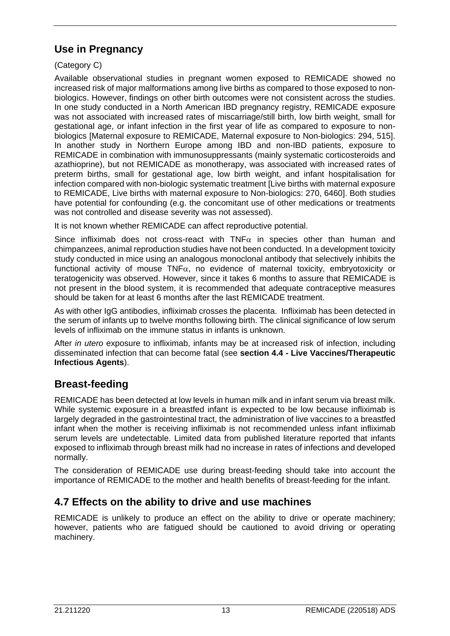# **Use in Pregnancy**

(Category C)

Available observational studies in pregnant women exposed to REMICADE showed no increased risk of major malformations among live births as compared to those exposed to nonbiologics. However, findings on other birth outcomes were not consistent across the studies. In one study conducted in a North American IBD pregnancy registry, REMICADE exposure was not associated with increased rates of miscarriage/still birth, low birth weight, small for gestational age, or infant infection in the first year of life as compared to exposure to nonbiologics [Maternal exposure to REMICADE, Maternal exposure to Non-biologics: 294, 515]. In another study in Northern Europe among IBD and non-IBD patients, exposure to REMICADE in combination with immunosuppressants (mainly systematic corticosteroids and azathioprine), but not REMICADE as monotherapy, was associated with increased rates of preterm births, small for gestational age, low birth weight, and infant hospitalisation for infection compared with non-biologic systematic treatment [Live births with maternal exposure to REMICADE, Live births with maternal exposure to Non-biologics: 270, 6460]. Both studies have potential for confounding (e.g. the concomitant use of other medications or treatments was not controlled and disease severity was not assessed).

It is not known whether REMICADE can affect reproductive potential.

Since infliximab does not cross-react with TNF $\alpha$  in species other than human and chimpanzees, animal reproduction studies have not been conducted. In a development toxicity study conducted in mice using an analogous monoclonal antibody that selectively inhibits the functional activity of mouse TNFα, no evidence of maternal toxicity, embryotoxicity or teratogenicity was observed. However, since it takes 6 months to assure that REMICADE is not present in the blood system, it is recommended that adequate contraceptive measures should be taken for at least 6 months after the last REMICADE treatment.

As with other IgG antibodies, infliximab crosses the placenta. Infliximab has been detected in the serum of infants up to twelve months following birth. The clinical significance of low serum levels of infliximab on the immune status in infants is unknown.

After *in utero* exposure to infliximab, infants may be at increased risk of infection, including disseminated infection that can become fatal (see **section 4.4 - Live Vaccines/Therapeutic Infectious Agents**).

# **Breast-feeding**

REMICADE has been detected at low levels in human milk and in infant serum via breast milk. While systemic exposure in a breastfed infant is expected to be low because infliximab is largely degraded in the gastrointestinal tract, the administration of live vaccines to a breastfed infant when the mother is receiving infliximab is not recommended unless infant infliximab serum levels are undetectable. Limited data from published literature reported that infants exposed to infliximab through breast milk had no increase in rates of infections and developed normally.

The consideration of REMICADE use during breast-feeding should take into account the importance of REMICADE to the mother and health benefits of breast-feeding for the infant.

# **4.7 Effects on the ability to drive and use machines**

REMICADE is unlikely to produce an effect on the ability to drive or operate machinery; however, patients who are fatigued should be cautioned to avoid driving or operating machinery.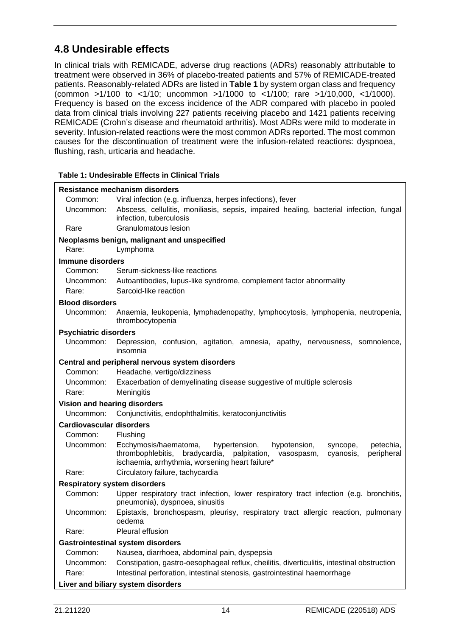# **4.8 Undesirable effects**

In clinical trials with REMICADE, adverse drug reactions (ADRs) reasonably attributable to treatment were observed in 36% of placebo-treated patients and 57% of REMICADE-treated patients. Reasonably-related ADRs are listed in **Table 1** by system organ class and frequency (common >1/100 to <1/10; uncommon >1/1000 to <1/100; rare >1/10,000, <1/1000). Frequency is based on the excess incidence of the ADR compared with placebo in pooled data from clinical trials involving 227 patients receiving placebo and 1421 patients receiving REMICADE (Crohn's disease and rheumatoid arthritis). Most ADRs were mild to moderate in severity. Infusion-related reactions were the most common ADRs reported. The most common causes for the discontinuation of treatment were the infusion-related reactions: dyspnoea, flushing, rash, urticaria and headache.

#### **Table 1: Undesirable Effects in Clinical Trials**

|                                     | Resistance mechanism disorders                                                                                                                                                                                                |
|-------------------------------------|-------------------------------------------------------------------------------------------------------------------------------------------------------------------------------------------------------------------------------|
| Common:                             | Viral infection (e.g. influenza, herpes infections), fever                                                                                                                                                                    |
| Uncommon:                           | Abscess, cellulitis, moniliasis, sepsis, impaired healing, bacterial infection, fungal<br>infection, tuberculosis                                                                                                             |
| Rare                                | Granulomatous lesion                                                                                                                                                                                                          |
|                                     | Neoplasms benign, malignant and unspecified                                                                                                                                                                                   |
| Rare:                               | Lymphoma                                                                                                                                                                                                                      |
| Immune disorders                    |                                                                                                                                                                                                                               |
| Common:                             | Serum-sickness-like reactions                                                                                                                                                                                                 |
| Uncommon:                           | Autoantibodies, lupus-like syndrome, complement factor abnormality                                                                                                                                                            |
| Rare:                               | Sarcoid-like reaction                                                                                                                                                                                                         |
| <b>Blood disorders</b>              |                                                                                                                                                                                                                               |
| Uncommon:                           | Anaemia, leukopenia, lymphadenopathy, lymphocytosis, lymphopenia, neutropenia,<br>thrombocytopenia                                                                                                                            |
| <b>Psychiatric disorders</b>        |                                                                                                                                                                                                                               |
| Uncommon:                           | Depression, confusion, agitation, amnesia, apathy, nervousness, somnolence,<br>insomnia                                                                                                                                       |
|                                     | Central and peripheral nervous system disorders                                                                                                                                                                               |
| Common:                             | Headache, vertigo/dizziness                                                                                                                                                                                                   |
| Uncommon:                           | Exacerbation of demyelinating disease suggestive of multiple sclerosis                                                                                                                                                        |
| Rare:                               | Meningitis                                                                                                                                                                                                                    |
| Vision and hearing disorders        |                                                                                                                                                                                                                               |
| Uncommon:                           | Conjunctivitis, endophthalmitis, keratoconjunctivitis                                                                                                                                                                         |
| <b>Cardiovascular disorders</b>     |                                                                                                                                                                                                                               |
| Common:                             | Flushing                                                                                                                                                                                                                      |
| Uncommon:                           | Ecchymosis/haematoma,<br>hypertension,<br>petechia,<br>hypotension,<br>syncope,<br>bradycardia,<br>palpitation, vasospasm,<br>thrombophlebitis,<br>peripheral<br>cyanosis,<br>ischaemia, arrhythmia, worsening heart failure* |
| Rare:                               | Circulatory failure, tachycardia                                                                                                                                                                                              |
| <b>Respiratory system disorders</b> |                                                                                                                                                                                                                               |
| Common:                             | Upper respiratory tract infection, lower respiratory tract infection (e.g. bronchitis,<br>pneumonia), dyspnoea, sinusitis                                                                                                     |
| Uncommon:                           | Epistaxis, bronchospasm, pleurisy, respiratory tract allergic reaction, pulmonary<br>oedema                                                                                                                                   |
| Rare:                               | Pleural effusion                                                                                                                                                                                                              |
|                                     | <b>Gastrointestinal system disorders</b>                                                                                                                                                                                      |
| Common:                             | Nausea, diarrhoea, abdominal pain, dyspepsia                                                                                                                                                                                  |
| Uncommon:                           | Constipation, gastro-oesophageal reflux, cheilitis, diverticulitis, intestinal obstruction                                                                                                                                    |
| Rare:                               | Intestinal perforation, intestinal stenosis, gastrointestinal haemorrhage                                                                                                                                                     |
|                                     | Liver and biliary system disorders                                                                                                                                                                                            |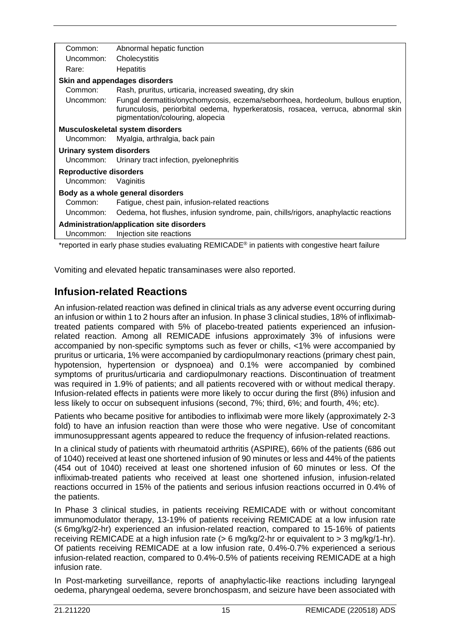| Common:                         | Abnormal hepatic function                                                                                                                                                                                 |
|---------------------------------|-----------------------------------------------------------------------------------------------------------------------------------------------------------------------------------------------------------|
| Uncommon:                       | Cholecystitis                                                                                                                                                                                             |
| Rare:                           | <b>Hepatitis</b>                                                                                                                                                                                          |
|                                 | Skin and appendages disorders                                                                                                                                                                             |
| Common:                         | Rash, pruritus, urticaria, increased sweating, dry skin                                                                                                                                                   |
| Uncommon:                       | Fungal dermatitis/onychomycosis, eczema/seborrhoea, hordeolum, bullous eruption,<br>furunculosis, periorbital oedema, hyperkeratosis, rosacea, verruca, abnormal skin<br>pigmentation/colouring, alopecia |
|                                 | Musculoskeletal system disorders                                                                                                                                                                          |
| Uncommon:                       | Myalgia, arthralgia, back pain                                                                                                                                                                            |
| <b>Urinary system disorders</b> |                                                                                                                                                                                                           |
| Uncommon:                       | Urinary tract infection, pyelonephritis                                                                                                                                                                   |
| <b>Reproductive disorders</b>   |                                                                                                                                                                                                           |
| Uncommon:                       | Vaginitis                                                                                                                                                                                                 |
|                                 | Body as a whole general disorders                                                                                                                                                                         |
| Common:                         | Fatigue, chest pain, infusion-related reactions                                                                                                                                                           |
| Uncommon:                       | Oedema, hot flushes, infusion syndrome, pain, chills/rigors, anaphylactic reactions                                                                                                                       |
|                                 | <b>Administration/application site disorders</b>                                                                                                                                                          |
| Uncommon:                       | Injection site reactions                                                                                                                                                                                  |
|                                 | *reported in early phase studies evaluating REMICADE® in patients with congestive heart failure                                                                                                           |

Vomiting and elevated hepatic transaminases were also reported.

#### **Infusion-related Reactions**

An infusion-related reaction was defined in clinical trials as any adverse event occurring during an infusion or within 1 to 2 hours after an infusion. In phase 3 clinical studies, 18% of infliximabtreated patients compared with 5% of placebo-treated patients experienced an infusionrelated reaction. Among all REMICADE infusions approximately 3% of infusions were accompanied by non-specific symptoms such as fever or chills, <1% were accompanied by pruritus or urticaria, 1% were accompanied by cardiopulmonary reactions (primary chest pain, hypotension, hypertension or dyspnoea) and 0.1% were accompanied by combined symptoms of pruritus/urticaria and cardiopulmonary reactions. Discontinuation of treatment was required in 1.9% of patients; and all patients recovered with or without medical therapy. Infusion-related effects in patients were more likely to occur during the first (8%) infusion and less likely to occur on subsequent infusions (second, 7%; third, 6%; and fourth, 4%; etc).

Patients who became positive for antibodies to infliximab were more likely (approximately 2-3 fold) to have an infusion reaction than were those who were negative. Use of concomitant immunosuppressant agents appeared to reduce the frequency of infusion-related reactions.

In a clinical study of patients with rheumatoid arthritis (ASPIRE), 66% of the patients (686 out of 1040) received at least one shortened infusion of 90 minutes or less and 44% of the patients (454 out of 1040) received at least one shortened infusion of 60 minutes or less. Of the infliximab-treated patients who received at least one shortened infusion, infusion-related reactions occurred in 15% of the patients and serious infusion reactions occurred in 0.4% of the patients.

In Phase 3 clinical studies, in patients receiving REMICADE with or without concomitant immunomodulator therapy, 13-19% of patients receiving REMICADE at a low infusion rate (≤ 6mg/kg/2-hr) experienced an infusion-related reaction, compared to 15-16% of patients receiving REMICADE at a high infusion rate  $(> 6 \text{ mg/kg}/2$ -hr or equivalent to  $> 3 \text{ mg/kg}/1$ -hr). Of patients receiving REMICADE at a low infusion rate, 0.4%-0.7% experienced a serious infusion-related reaction, compared to 0.4%-0.5% of patients receiving REMICADE at a high infusion rate.

In Post-marketing surveillance, reports of anaphylactic-like reactions including laryngeal oedema, pharyngeal oedema, severe bronchospasm, and seizure have been associated with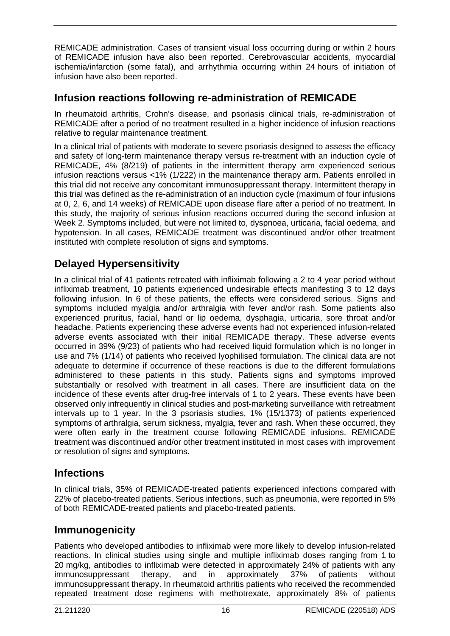REMICADE administration. Cases of transient visual loss occurring during or within 2 hours of REMICADE infusion have also been reported. Cerebrovascular accidents, myocardial ischemia/infarction (some fatal), and arrhythmia occurring within 24 hours of initiation of infusion have also been reported.

## **Infusion reactions following re-administration of REMICADE**

In rheumatoid arthritis, Crohn's disease, and psoriasis clinical trials, re-administration of REMICADE after a period of no treatment resulted in a higher incidence of infusion reactions relative to regular maintenance treatment.

In a clinical trial of patients with moderate to severe psoriasis designed to assess the efficacy and safety of long-term maintenance therapy versus re-treatment with an induction cycle of REMICADE, 4% (8/219) of patients in the intermittent therapy arm experienced serious infusion reactions versus <1% (1/222) in the maintenance therapy arm. Patients enrolled in this trial did not receive any concomitant immunosuppressant therapy. Intermittent therapy in this trial was defined as the re-administration of an induction cycle (maximum of four infusions at 0, 2, 6, and 14 weeks) of REMICADE upon disease flare after a period of no treatment. In this study, the majority of serious infusion reactions occurred during the second infusion at Week 2. Symptoms included, but were not limited to, dyspnoea, urticaria, facial oedema, and hypotension. In all cases, REMICADE treatment was discontinued and/or other treatment instituted with complete resolution of signs and symptoms.

# **Delayed Hypersensitivity**

In a clinical trial of 41 patients retreated with infliximab following a 2 to 4 year period without infliximab treatment, 10 patients experienced undesirable effects manifesting 3 to 12 days following infusion. In 6 of these patients, the effects were considered serious. Signs and symptoms included myalgia and/or arthralgia with fever and/or rash. Some patients also experienced pruritus, facial, hand or lip oedema, dysphagia, urticaria, sore throat and/or headache. Patients experiencing these adverse events had not experienced infusion-related adverse events associated with their initial REMICADE therapy. These adverse events occurred in 39% (9/23) of patients who had received liquid formulation which is no longer in use and 7% (1/14) of patients who received lyophilised formulation. The clinical data are not adequate to determine if occurrence of these reactions is due to the different formulations administered to these patients in this study. Patients signs and symptoms improved substantially or resolved with treatment in all cases. There are insufficient data on the incidence of these events after drug-free intervals of 1 to 2 years. These events have been observed only infrequently in clinical studies and post-marketing surveillance with retreatment intervals up to 1 year. In the 3 psoriasis studies, 1% (15/1373) of patients experienced symptoms of arthralgia, serum sickness, myalgia, fever and rash. When these occurred, they were often early in the treatment course following REMICADE infusions. REMICADE treatment was discontinued and/or other treatment instituted in most cases with improvement or resolution of signs and symptoms.

## **Infections**

In clinical trials, 35% of REMICADE-treated patients experienced infections compared with 22% of placebo-treated patients. Serious infections, such as pneumonia, were reported in 5% of both REMICADE-treated patients and placebo-treated patients.

## **Immunogenicity**

Patients who developed antibodies to infliximab were more likely to develop infusion-related reactions. In clinical studies using single and multiple infliximab doses ranging from 1 to 20 mg/kg, antibodies to infliximab were detected in approximately 24% of patients with any immunosuppressant therapy, and in approximately 37% of patients without immunosuppressant therapy. In rheumatoid arthritis patients who received the recommended repeated treatment dose regimens with methotrexate, approximately 8% of patients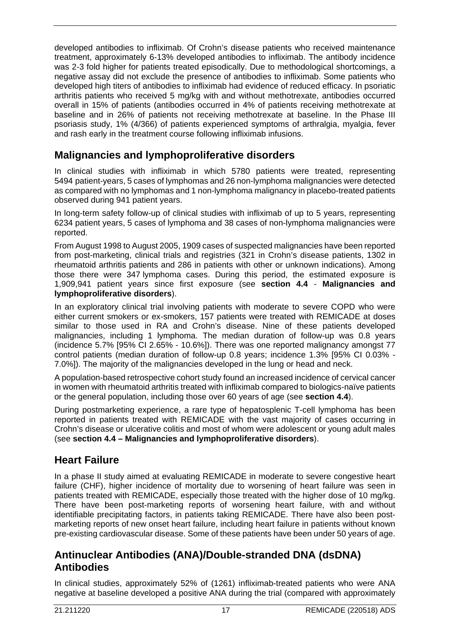developed antibodies to infliximab. Of Crohn's disease patients who received maintenance treatment, approximately 6-13% developed antibodies to infliximab. The antibody incidence was 2-3 fold higher for patients treated episodically. Due to methodological shortcomings, a negative assay did not exclude the presence of antibodies to infliximab. Some patients who developed high titers of antibodies to infliximab had evidence of reduced efficacy. In psoriatic arthritis patients who received 5 mg/kg with and without methotrexate, antibodies occurred overall in 15% of patients (antibodies occurred in 4% of patients receiving methotrexate at baseline and in 26% of patients not receiving methotrexate at baseline. In the Phase III psoriasis study, 1% (4/366) of patients experienced symptoms of arthralgia, myalgia, fever and rash early in the treatment course following infliximab infusions.

# **Malignancies and lymphoproliferative disorders**

In clinical studies with infliximab in which 5780 patients were treated, representing 5494 patient-years, 5 cases of lymphomas and 26 non-lymphoma malignancies were detected as compared with no lymphomas and 1 non-lymphoma malignancy in placebo-treated patients observed during 941 patient years.

In long-term safety follow-up of clinical studies with infliximab of up to 5 years, representing 6234 patient years, 5 cases of lymphoma and 38 cases of non-lymphoma malignancies were reported.

From August 1998 to August 2005, 1909 cases of suspected malignancies have been reported from post-marketing, clinical trials and registries (321 in Crohn's disease patients, 1302 in rheumatoid arthritis patients and 286 in patients with other or unknown indications). Among those there were 347 lymphoma cases. During this period, the estimated exposure is 1,909,941 patient years since first exposure (see **section 4.4** - **Malignancies and lymphoproliferative disorders**).

In an exploratory clinical trial involving patients with moderate to severe COPD who were either current smokers or ex-smokers, 157 patients were treated with REMICADE at doses similar to those used in RA and Crohn's disease. Nine of these patients developed malignancies, including 1 lymphoma. The median duration of follow-up was 0.8 years (incidence 5.7% [95% CI 2.65% - 10.6%]). There was one reported malignancy amongst 77 control patients (median duration of follow-up 0.8 years; incidence 1.3% [95% CI 0.03% - 7.0%]). The majority of the malignancies developed in the lung or head and neck.

A population-based retrospective cohort study found an increased incidence of cervical cancer in women with rheumatoid arthritis treated with infliximab compared to biologics-naïve patients or the general population, including those over 60 years of age (see **section 4.4**).

During postmarketing experience, a rare type of hepatosplenic T-cell lymphoma has been reported in patients treated with REMICADE with the vast majority of cases occurring in Crohn's disease or ulcerative colitis and most of whom were adolescent or young adult males (see **section 4.4 – Malignancies and lymphoproliferative disorders**).

# **Heart Failure**

In a phase II study aimed at evaluating REMICADE in moderate to severe congestive heart failure (CHF), higher incidence of mortality due to worsening of heart failure was seen in patients treated with REMICADE, especially those treated with the higher dose of 10 mg/kg. There have been post-marketing reports of worsening heart failure, with and without identifiable precipitating factors, in patients taking REMICADE. There have also been postmarketing reports of new onset heart failure, including heart failure in patients without known pre-existing cardiovascular disease. Some of these patients have been under 50 years of age.

## **Antinuclear Antibodies (ANA)/Double-stranded DNA (dsDNA) Antibodies**

In clinical studies, approximately 52% of (1261) infliximab-treated patients who were ANA negative at baseline developed a positive ANA during the trial (compared with approximately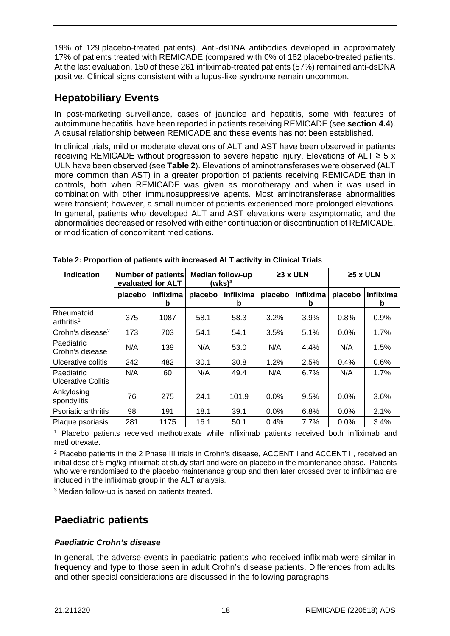19% of 129 placebo-treated patients). Anti-dsDNA antibodies developed in approximately 17% of patients treated with REMICADE (compared with 0% of 162 placebo-treated patients. At the last evaluation, 150 of these 261 infliximab-treated patients (57%) remained anti-dsDNA positive. Clinical signs consistent with a lupus-like syndrome remain uncommon.

## **Hepatobiliary Events**

In post-marketing surveillance, cases of jaundice and hepatitis, some with features of autoimmune hepatitis, have been reported in patients receiving REMICADE (see **section 4.4**). A causal relationship between REMICADE and these events has not been established.

In clinical trials, mild or moderate elevations of ALT and AST have been observed in patients receiving REMICADE without progression to severe hepatic injury. Elevations of ALT  $\geq 5 \times$ ULN have been observed (see **Table 2**). Elevations of aminotransferases were observed (ALT more common than AST) in a greater proportion of patients receiving REMICADE than in controls, both when REMICADE was given as monotherapy and when it was used in combination with other immunosuppressive agents. Most aminotransferase abnormalities were transient; however, a small number of patients experienced more prolonged elevations. In general, patients who developed ALT and AST elevations were asymptomatic, and the abnormalities decreased or resolved with either continuation or discontinuation of REMICADE, or modification of concomitant medications.

| <b>Indication</b>                    |         | <b>Number of patients</b><br>evaluated for ALT |         | <b>Median follow-up</b><br>(wks) $^3$ |         | $\geq$ 3 x ULN |         | $\geq$ 5 x ULN |  |
|--------------------------------------|---------|------------------------------------------------|---------|---------------------------------------|---------|----------------|---------|----------------|--|
|                                      | placebo | inflixima<br>b                                 | placebo | inflixima<br>b                        | placebo | inflixima<br>b | placebo | inflixima<br>b |  |
| Rheumatoid<br>arthritis <sup>1</sup> | 375     | 1087                                           | 58.1    | 58.3                                  | 3.2%    | 3.9%           | 0.8%    | 0.9%           |  |
| Crohn's disease <sup>2</sup>         | 173     | 703                                            | 54.1    | 54.1                                  | 3.5%    | 5.1%           | 0.0%    | 1.7%           |  |
| Paediatric<br>Crohn's disease        | N/A     | 139                                            | N/A     | 53.0                                  | N/A     | 4.4%           | N/A     | 1.5%           |  |
| Ulcerative colitis                   | 242     | 482                                            | 30.1    | 30.8                                  | 1.2%    | 2.5%           | 0.4%    | 0.6%           |  |
| Paediatric<br>Ulcerative Colitis     | N/A     | 60                                             | N/A     | 49.4                                  | N/A     | 6.7%           | N/A     | 1.7%           |  |
| Ankylosing<br>spondylitis            | 76      | 275                                            | 24.1    | 101.9                                 | $0.0\%$ | 9.5%           | $0.0\%$ | 3.6%           |  |
| Psoriatic arthritis                  | 98      | 191                                            | 18.1    | 39.1                                  | 0.0%    | 6.8%           | 0.0%    | 2.1%           |  |
| Plaque psoriasis                     | 281     | 1175                                           | 16.1    | 50.1                                  | 0.4%    | 7.7%           | $0.0\%$ | 3.4%           |  |

**Table 2: Proportion of patients with increased ALT activity in Clinical Trials**

Placebo patients received methotrexate while infliximab patients received both infliximab and methotrexate.

<sup>2</sup> Placebo patients in the 2 Phase III trials in Crohn's disease, ACCENT I and ACCENT II, received an initial dose of 5 mg/kg infliximab at study start and were on placebo in the maintenance phase. Patients who were randomised to the placebo maintenance group and then later crossed over to infliximab are included in the infliximab group in the ALT analysis.

3 Median follow-up is based on patients treated.

# **Paediatric patients**

#### *Paediatric Crohn's disease*

In general, the adverse events in paediatric patients who received infliximab were similar in frequency and type to those seen in adult Crohn's disease patients. Differences from adults and other special considerations are discussed in the following paragraphs.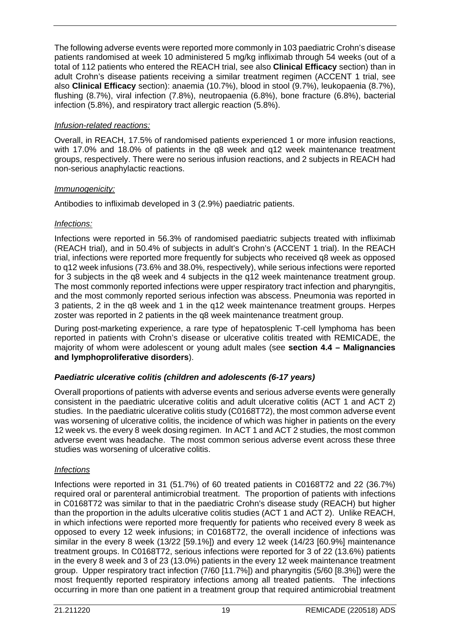The following adverse events were reported more commonly in 103 paediatric Crohn's disease patients randomised at week 10 administered 5 mg/kg infliximab through 54 weeks (out of a total of 112 patients who entered the REACH trial, see also **Clinical Efficacy** section) than in adult Crohn's disease patients receiving a similar treatment regimen (ACCENT 1 trial, see also **Clinical Efficacy** section): anaemia (10.7%), blood in stool (9.7%), leukopaenia (8.7%), flushing (8.7%), viral infection (7.8%), neutropaenia (6.8%), bone fracture (6.8%), bacterial infection (5.8%), and respiratory tract allergic reaction (5.8%).

#### *Infusion-related reactions:*

Overall, in REACH, 17.5% of randomised patients experienced 1 or more infusion reactions, with 17.0% and 18.0% of patients in the q8 week and q12 week maintenance treatment groups, respectively. There were no serious infusion reactions, and 2 subjects in REACH had non-serious anaphylactic reactions.

#### *Immunogenicity:*

Antibodies to infliximab developed in 3 (2.9%) paediatric patients.

#### *Infections:*

Infections were reported in 56.3% of randomised paediatric subjects treated with infliximab (REACH trial), and in 50.4% of subjects in adult's Crohn's (ACCENT 1 trial). In the REACH trial, infections were reported more frequently for subjects who received q8 week as opposed to q12 week infusions (73.6% and 38.0%, respectively), while serious infections were reported for 3 subjects in the q8 week and 4 subjects in the q12 week maintenance treatment group. The most commonly reported infections were upper respiratory tract infection and pharyngitis, and the most commonly reported serious infection was abscess. Pneumonia was reported in 3 patients, 2 in the q8 week and 1 in the q12 week maintenance treatment groups. Herpes zoster was reported in 2 patients in the q8 week maintenance treatment group.

During post-marketing experience, a rare type of hepatosplenic T-cell lymphoma has been reported in patients with Crohn's disease or ulcerative colitis treated with REMICADE, the majority of whom were adolescent or young adult males (see **section 4.4 – Malignancies and lymphoproliferative disorders**).

#### *Paediatric ulcerative colitis (children and adolescents (6-17 years)*

Overall proportions of patients with adverse events and serious adverse events were generally consistent in the paediatric ulcerative colitis and adult ulcerative colitis (ACT 1 and ACT 2) studies. In the paediatric ulcerative colitis study (C0168T72), the most common adverse event was worsening of ulcerative colitis, the incidence of which was higher in patients on the every 12 week vs. the every 8 week dosing regimen. In ACT 1 and ACT 2 studies, the most common adverse event was headache. The most common serious adverse event across these three studies was worsening of ulcerative colitis.

#### *Infections*

Infections were reported in 31 (51.7%) of 60 treated patients in C0168T72 and 22 (36.7%) required oral or parenteral antimicrobial treatment. The proportion of patients with infections in C0168T72 was similar to that in the paediatric Crohn's disease study (REACH) but higher than the proportion in the adults ulcerative colitis studies (ACT 1 and ACT 2). Unlike REACH, in which infections were reported more frequently for patients who received every 8 week as opposed to every 12 week infusions; in C0168T72, the overall incidence of infections was similar in the every 8 week (13/22 [59.1%]) and every 12 week (14/23 [60.9%] maintenance treatment groups. In C0168T72, serious infections were reported for 3 of 22 (13.6%) patients in the every 8 week and 3 of 23 (13.0%) patients in the every 12 week maintenance treatment group. Upper respiratory tract infection (7/60 [11.7%]) and pharyngitis (5/60 [8.3%]) were the most frequently reported respiratory infections among all treated patients. The infections occurring in more than one patient in a treatment group that required antimicrobial treatment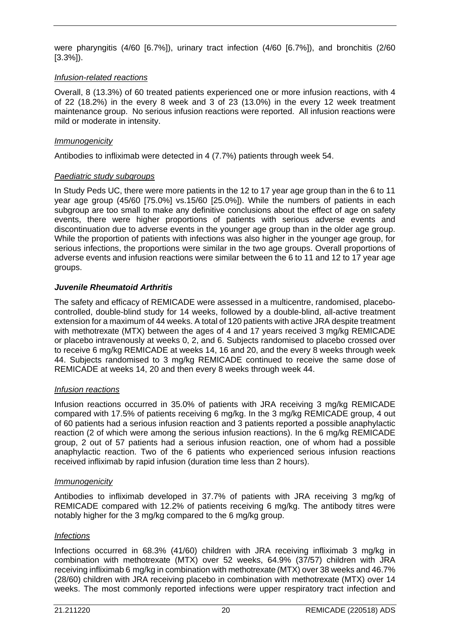were pharyngitis (4/60 [6.7%]), urinary tract infection (4/60 [6.7%]), and bronchitis (2/60 [3.3%]).

#### *Infusion-related reactions*

Overall, 8 (13.3%) of 60 treated patients experienced one or more infusion reactions, with 4 of 22 (18.2%) in the every 8 week and 3 of 23 (13.0%) in the every 12 week treatment maintenance group. No serious infusion reactions were reported. All infusion reactions were mild or moderate in intensity.

#### *Immunogenicity*

Antibodies to infliximab were detected in 4 (7.7%) patients through week 54.

#### *Paediatric study subgroups*

In Study Peds UC, there were more patients in the 12 to 17 year age group than in the 6 to 11 year age group (45/60 [75.0%] vs.15/60 [25.0%]). While the numbers of patients in each subgroup are too small to make any definitive conclusions about the effect of age on safety events, there were higher proportions of patients with serious adverse events and discontinuation due to adverse events in the younger age group than in the older age group. While the proportion of patients with infections was also higher in the younger age group, for serious infections, the proportions were similar in the two age groups. Overall proportions of adverse events and infusion reactions were similar between the 6 to 11 and 12 to 17 year age groups.

#### *Juvenile Rheumatoid Arthritis*

The safety and efficacy of REMICADE were assessed in a multicentre, randomised, placebocontrolled, double-blind study for 14 weeks, followed by a double-blind, all-active treatment extension for a maximum of 44 weeks. A total of 120 patients with active JRA despite treatment with methotrexate (MTX) between the ages of 4 and 17 years received 3 mg/kg REMICADE or placebo intravenously at weeks 0, 2, and 6. Subjects randomised to placebo crossed over to receive 6 mg/kg REMICADE at weeks 14, 16 and 20, and the every 8 weeks through week 44. Subjects randomised to 3 mg/kg REMICADE continued to receive the same dose of REMICADE at weeks 14, 20 and then every 8 weeks through week 44.

#### *Infusion reactions*

Infusion reactions occurred in 35.0% of patients with JRA receiving 3 mg/kg REMICADE compared with 17.5% of patients receiving 6 mg/kg. In the 3 mg/kg REMICADE group, 4 out of 60 patients had a serious infusion reaction and 3 patients reported a possible anaphylactic reaction (2 of which were among the serious infusion reactions). In the 6 mg/kg REMICADE group, 2 out of 57 patients had a serious infusion reaction, one of whom had a possible anaphylactic reaction. Two of the 6 patients who experienced serious infusion reactions received infliximab by rapid infusion (duration time less than 2 hours).

#### *Immunogenicity*

Antibodies to infliximab developed in 37.7% of patients with JRA receiving 3 mg/kg of REMICADE compared with 12.2% of patients receiving 6 mg/kg. The antibody titres were notably higher for the 3 mg/kg compared to the 6 mg/kg group.

#### *Infections*

Infections occurred in 68.3% (41/60) children with JRA receiving infliximab 3 mg/kg in combination with methotrexate (MTX) over 52 weeks, 64.9% (37/57) children with JRA receiving infliximab 6 mg/kg in combination with methotrexate (MTX) over 38 weeks and 46.7% (28/60) children with JRA receiving placebo in combination with methotrexate (MTX) over 14 weeks. The most commonly reported infections were upper respiratory tract infection and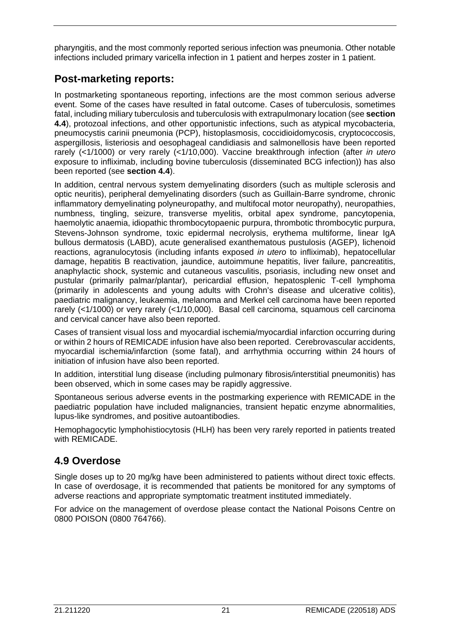pharyngitis, and the most commonly reported serious infection was pneumonia. Other notable infections included primary varicella infection in 1 patient and herpes zoster in 1 patient.

# **Post-marketing reports:**

In postmarketing spontaneous reporting, infections are the most common serious adverse event. Some of the cases have resulted in fatal outcome. Cases of tuberculosis, sometimes fatal, including miliary tuberculosis and tuberculosis with extrapulmonary location (see **section 4.4**), protozoal infections, and other opportunistic infections, such as atypical mycobacteria, pneumocystis carinii pneumonia (PCP), histoplasmosis, coccidioidomycosis, cryptococcosis, aspergillosis, listeriosis and oesophageal candidiasis and salmonellosis have been reported rarely (<1/1000) or very rarely (<1/10,000). Vaccine breakthrough infection (after *in utero* exposure to infliximab, including bovine tuberculosis (disseminated BCG infection)) has also been reported (see **section 4.4**).

In addition, central nervous system demyelinating disorders (such as multiple sclerosis and optic neuritis), peripheral demyelinating disorders (such as Guillain-Barre syndrome, chronic inflammatory demyelinating polyneuropathy, and multifocal motor neuropathy), neuropathies, numbness, tingling, seizure, transverse myelitis, orbital apex syndrome, pancytopenia, haemolytic anaemia, idiopathic thrombocytopaenic purpura, thrombotic thrombocytic purpura, Stevens-Johnson syndrome, toxic epidermal necrolysis, erythema multiforme, linear IgA bullous dermatosis (LABD), acute generalised exanthematous pustulosis (AGEP), lichenoid reactions, agranulocytosis (including infants exposed *in utero* to infliximab), hepatocellular damage, hepatitis B reactivation, jaundice, autoimmune hepatitis, liver failure, pancreatitis, anaphylactic shock, systemic and cutaneous vasculitis, psoriasis, including new onset and pustular (primarily palmar/plantar), pericardial effusion, hepatosplenic T-cell lymphoma (primarily in adolescents and young adults with Crohn's disease and ulcerative colitis), paediatric malignancy, leukaemia, melanoma and Merkel cell carcinoma have been reported rarely (<1/1000) or very rarely (<1/10,000). Basal cell carcinoma, squamous cell carcinoma and cervical cancer have also been reported.

Cases of transient visual loss and myocardial ischemia/myocardial infarction occurring during or within 2 hours of REMICADE infusion have also been reported. Cerebrovascular accidents, myocardial ischemia/infarction (some fatal), and arrhythmia occurring within 24 hours of initiation of infusion have also been reported.

In addition, interstitial lung disease (including pulmonary fibrosis/interstitial pneumonitis) has been observed, which in some cases may be rapidly aggressive.

Spontaneous serious adverse events in the postmarking experience with REMICADE in the paediatric population have included malignancies, transient hepatic enzyme abnormalities, lupus-like syndromes, and positive autoantibodies.

Hemophagocytic lymphohistiocytosis (HLH) has been very rarely reported in patients treated with REMICADE.

## **4.9 Overdose**

Single doses up to 20 mg/kg have been administered to patients without direct toxic effects. In case of overdosage, it is recommended that patients be monitored for any symptoms of adverse reactions and appropriate symptomatic treatment instituted immediately.

For advice on the management of overdose please contact the National Poisons Centre on 0800 POISON (0800 764766).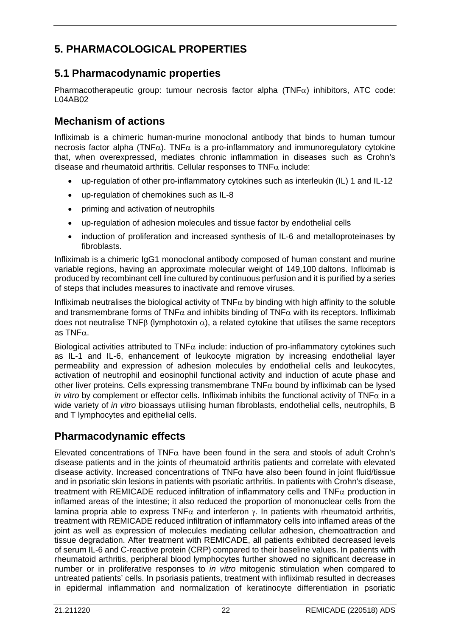# **5. PHARMACOLOGICAL PROPERTIES**

# **5.1 Pharmacodynamic properties**

Pharmacotherapeutic group: tumour necrosis factor alpha (TNF $\alpha$ ) inhibitors, ATC code: L04AB02

## **Mechanism of actions**

Infliximab is a chimeric human-murine monoclonal antibody that binds to human tumour necrosis factor alpha (TNF $\alpha$ ). TNF $\alpha$  is a pro-inflammatory and immunoregulatory cytokine that, when overexpressed, mediates chronic inflammation in diseases such as Crohn's disease and rheumatoid arthritis. Cellular responses to  $TNF\alpha$  include:

- up-regulation of other pro-inflammatory cytokines such as interleukin (IL) 1 and IL-12
- up-regulation of chemokines such as IL-8
- priming and activation of neutrophils
- up-regulation of adhesion molecules and tissue factor by endothelial cells
- induction of proliferation and increased synthesis of IL-6 and metalloproteinases by fibroblasts.

Infliximab is a chimeric IgG1 monoclonal antibody composed of human constant and murine variable regions, having an approximate molecular weight of 149,100 daltons. Infliximab is produced by recombinant cell line cultured by continuous perfusion and it is purified by a series of steps that includes measures to inactivate and remove viruses.

Infliximab neutralises the biological activity of TNF $\alpha$  by binding with high affinity to the soluble and transmembrane forms of TNF $\alpha$  and inhibits binding of TNF $\alpha$  with its receptors. Infliximab does not neutralise TNFB (lymphotoxin  $\alpha$ ), a related cytokine that utilises the same receptors as TNFα.

Biological activities attributed to  $TNF\alpha$  include: induction of pro-inflammatory cytokines such as IL-1 and IL-6, enhancement of leukocyte migration by increasing endothelial layer permeability and expression of adhesion molecules by endothelial cells and leukocytes, activation of neutrophil and eosinophil functional activity and induction of acute phase and other liver proteins. Cells expressing transmembrane TNF $\alpha$  bound by infliximab can be lysed *in vitro* by complement or effector cells. Infliximab inhibits the functional activity of TNF $\alpha$  in a wide variety of *in vitro* bioassays utilising human fibroblasts, endothelial cells, neutrophils, B and T lymphocytes and epithelial cells.

# **Pharmacodynamic effects**

Elevated concentrations of TNF $\alpha$  have been found in the sera and stools of adult Crohn's disease patients and in the joints of rheumatoid arthritis patients and correlate with elevated disease activity. Increased concentrations of TNFα have also been found in joint fluid/tissue and in psoriatic skin lesions in patients with psoriatic arthritis. In patients with Crohn's disease, treatment with REMICADE reduced infiltration of inflammatory cells and TNF $\alpha$  production in inflamed areas of the intestine; it also reduced the proportion of mononuclear cells from the lamina propria able to express TNF $\alpha$  and interferon  $\gamma$ . In patients with rheumatoid arthritis, treatment with REMICADE reduced infiltration of inflammatory cells into inflamed areas of the joint as well as expression of molecules mediating cellular adhesion, chemoattraction and tissue degradation. After treatment with REMICADE, all patients exhibited decreased levels of serum IL-6 and C-reactive protein (CRP) compared to their baseline values. In patients with rheumatoid arthritis, peripheral blood lymphocytes further showed no significant decrease in number or in proliferative responses to *in vitro* mitogenic stimulation when compared to untreated patients' cells. In psoriasis patients, treatment with infliximab resulted in decreases in epidermal inflammation and normalization of keratinocyte differentiation in psoriatic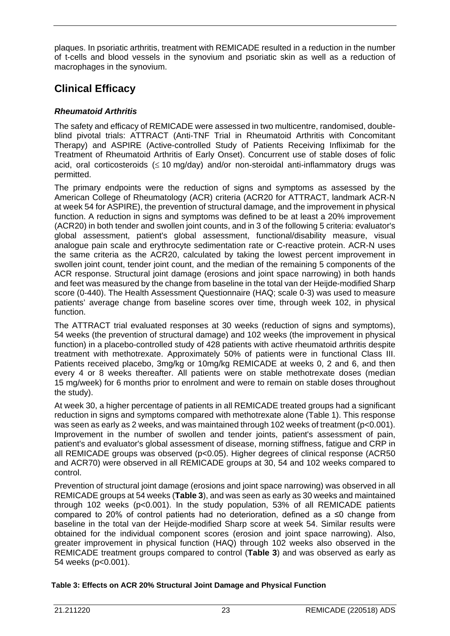plaques. In psoriatic arthritis, treatment with REMICADE resulted in a reduction in the number of t-cells and blood vessels in the synovium and psoriatic skin as well as a reduction of macrophages in the synovium.

# **Clinical Efficacy**

#### *Rheumatoid Arthritis*

The safety and efficacy of REMICADE were assessed in two multicentre, randomised, doubleblind pivotal trials: ATTRACT (Anti-TNF Trial in Rheumatoid Arthritis with Concomitant Therapy) and ASPIRE (Active-controlled Study of Patients Receiving Infliximab for the Treatment of Rheumatoid Arthritis of Early Onset). Concurrent use of stable doses of folic acid, oral corticosteroids (≤ 10 mg/day) and/or non-steroidal anti-inflammatory drugs was permitted.

The primary endpoints were the reduction of signs and symptoms as assessed by the American College of Rheumatology (ACR) criteria (ACR20 for ATTRACT, landmark ACR-N at week 54 for ASPIRE), the prevention of structural damage, and the improvement in physical function. A reduction in signs and symptoms was defined to be at least a 20% improvement (ACR20) in both tender and swollen joint counts, and in 3 of the following 5 criteria: evaluator's global assessment, patient's global assessment, functional/disability measure, visual analogue pain scale and erythrocyte sedimentation rate or C-reactive protein. ACR-N uses the same criteria as the ACR20, calculated by taking the lowest percent improvement in swollen joint count, tender joint count, and the median of the remaining 5 components of the ACR response. Structural joint damage (erosions and joint space narrowing) in both hands and feet was measured by the change from baseline in the total van der Heijde-modified Sharp score (0-440). The Health Assessment Questionnaire (HAQ; scale 0-3) was used to measure patients' average change from baseline scores over time, through week 102, in physical function.

The ATTRACT trial evaluated responses at 30 weeks (reduction of signs and symptoms), 54 weeks (the prevention of structural damage) and 102 weeks (the improvement in physical function) in a placebo-controlled study of 428 patients with active rheumatoid arthritis despite treatment with methotrexate. Approximately 50% of patients were in functional Class III. Patients received placebo, 3mg/kg or 10mg/kg REMICADE at weeks 0, 2 and 6, and then every 4 or 8 weeks thereafter. All patients were on stable methotrexate doses (median 15 mg/week) for 6 months prior to enrolment and were to remain on stable doses throughout the study).

At week 30, a higher percentage of patients in all REMICADE treated groups had a significant reduction in signs and symptoms compared with methotrexate alone (Table 1). This response was seen as early as 2 weeks, and was maintained through 102 weeks of treatment (p<0.001). Improvement in the number of swollen and tender joints, patient's assessment of pain, patient's and evaluator's global assessment of disease, morning stiffness, fatigue and CRP in all REMICADE groups was observed (p<0.05). Higher degrees of clinical response (ACR50 and ACR70) were observed in all REMICADE groups at 30, 54 and 102 weeks compared to control.

Prevention of structural joint damage (erosions and joint space narrowing) was observed in all REMICADE groups at 54 weeks (**Table 3**), and was seen as early as 30 weeks and maintained through 102 weeks (p<0.001). In the study population, 53% of all REMICADE patients compared to 20% of control patients had no deterioration, defined as a ≤0 change from baseline in the total van der Heijde-modified Sharp score at week 54. Similar results were obtained for the individual component scores (erosion and joint space narrowing). Also, greater improvement in physical function (HAQ) through 102 weeks also observed in the REMICADE treatment groups compared to control (**Table 3**) and was observed as early as 54 weeks (p<0.001).

#### **Table 3: Effects on ACR 20% Structural Joint Damage and Physical Function**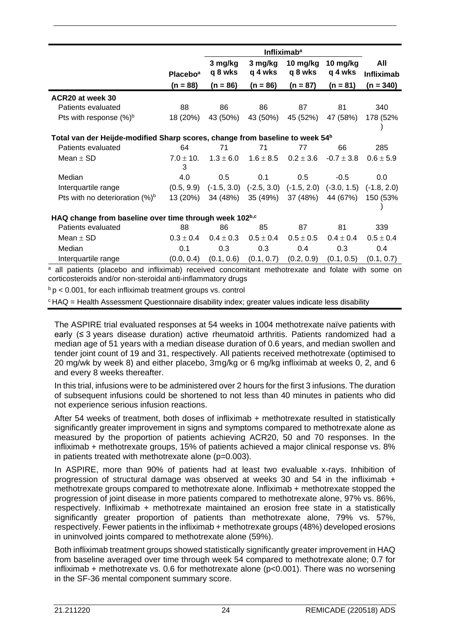|                                                                                          |                                                                                                                                                                              |                    | <b>Infliximab<sup>a</sup></b> |                                           |                     |                          |  |  |
|------------------------------------------------------------------------------------------|------------------------------------------------------------------------------------------------------------------------------------------------------------------------------|--------------------|-------------------------------|-------------------------------------------|---------------------|--------------------------|--|--|
|                                                                                          | <b>Placebo</b> <sup>a</sup>                                                                                                                                                  | 3 mg/kg<br>q 8 wks | 3 mg/kg<br>q 4 wks            | 10 mg/kg<br>q 8 wks                       | 10 mg/kg<br>q 4 wks | All<br><b>Infliximab</b> |  |  |
|                                                                                          | $(n = 88)$                                                                                                                                                                   | $(n = 86)$         | $(n = 86)$                    | $(n = 87)$                                | $(n = 81)$          | $(n = 340)$              |  |  |
| ACR20 at week 30                                                                         |                                                                                                                                                                              |                    |                               |                                           |                     |                          |  |  |
| Patients evaluated                                                                       | 88                                                                                                                                                                           | 86                 | 86                            | 87                                        | 81                  | 340                      |  |  |
| Pts with response $(\%)^b$                                                               | 18 (20%)                                                                                                                                                                     | 43 (50%)           | 43 (50%)                      | 45 (52%)                                  | 47 (58%)            | 178 (52%                 |  |  |
| Total van der Heijde-modified Sharp scores, change from baseline to week 54 <sup>b</sup> |                                                                                                                                                                              |                    |                               |                                           |                     |                          |  |  |
| Patients evaluated                                                                       | 64                                                                                                                                                                           | 71                 | 71                            | 77                                        | 66                  | 285                      |  |  |
| Mean $\pm$ SD                                                                            | $7.0 \pm 10.$<br>3                                                                                                                                                           | $1.3 \pm 6.0$      | $1.6 \pm 8.5$                 | $0.2 \pm 3.6$                             | $-0.7 \pm 3.8$      | $0.6 \pm 5.9$            |  |  |
| Median                                                                                   | 4.0                                                                                                                                                                          | 0.5                | 0.1                           | 0.5                                       | $-0.5$              | 0.0                      |  |  |
| Interquartile range                                                                      | (0.5, 9.9)                                                                                                                                                                   | $(-1.5, 3.0)$      |                               | $(-2.5, 3.0)$ $(-1.5, 2.0)$ $(-3.0, 1.5)$ |                     | $(-1.8, 2.0)$            |  |  |
| Pts with no deterioration $(\%)^b$                                                       | 13 (20%)                                                                                                                                                                     | 34 (48%)           | 35 (49%)                      | 37 (48%)                                  | 44 (67%)            | 150 (53%                 |  |  |
| HAQ change from baseline over time through week 102b,c                                   |                                                                                                                                                                              |                    |                               |                                           |                     |                          |  |  |
| Patients evaluated                                                                       | 88                                                                                                                                                                           | 86                 | 85                            | 87                                        | 81                  | 339                      |  |  |
| Mean $\pm$ SD                                                                            | $0.3 \pm 0.4$                                                                                                                                                                | $0.4 \pm 0.3$      | $0.5 \pm 0.4$                 | $0.5\pm0.5$                               | $0.4 \pm 0.4$       | $0.5 \pm 0.4$            |  |  |
| Median                                                                                   | 0.1                                                                                                                                                                          | 0.3                | 0.3                           | 0.4                                       | 0.3                 | 0.4                      |  |  |
| Interquartile range                                                                      | (0.0, 0.4)                                                                                                                                                                   | (0.1, 0.6)         | (0.1, 0.7)                    | (0.2, 0.9)                                | (0.1, 0.5)          | (0.1, 0.7)               |  |  |
|                                                                                          | <sup>a</sup> all patients (placebo and infliximab) received concomitant methotrexate and folate with some on<br>corticosteroids and/or non-steroidal anti-inflammatory drugs |                    |                               |                                           |                     |                          |  |  |

 $b$  p < 0.001, for each infliximab treatment groups vs. control

 $c$  HAQ = Health Assessment Questionnaire disability index; greater values indicate less disability

The ASPIRE trial evaluated responses at 54 weeks in 1004 methotrexate naïve patients with early (≤ 3 years disease duration) active rheumatoid arthritis. Patients randomized had a median age of 51 years with a median disease duration of 0.6 years, and median swollen and tender joint count of 19 and 31, respectively. All patients received methotrexate (optimised to 20 mg/wk by week 8) and either placebo, 3mg/kg or 6 mg/kg infliximab at weeks 0, 2, and 6 and every 8 weeks thereafter.

In this trial, infusions were to be administered over 2 hours for the first 3 infusions. The duration of subsequent infusions could be shortened to not less than 40 minutes in patients who did not experience serious infusion reactions.

After 54 weeks of treatment, both doses of infliximab + methotrexate resulted in statistically significantly greater improvement in signs and symptoms compared to methotrexate alone as measured by the proportion of patients achieving ACR20, 50 and 70 responses. In the infliximab + methotrexate groups, 15% of patients achieved a major clinical response vs. 8% in patients treated with methotrexate alone (p=0.003).

In ASPIRE, more than 90% of patients had at least two evaluable x-rays. Inhibition of progression of structural damage was observed at weeks 30 and 54 in the infliximab  $+$ methotrexate groups compared to methotrexate alone. Infliximab + methotrexate stopped the progression of joint disease in more patients compared to methotrexate alone, 97% vs. 86%, respectively. Infliximab + methotrexate maintained an erosion free state in a statistically significantly greater proportion of patients than methotrexate alone, 79% vs. 57%, respectively. Fewer patients in the infliximab + methotrexate groups (48%) developed erosions in uninvolved joints compared to methotrexate alone (59%).

Both infliximab treatment groups showed statistically significantly greater improvement in HAQ from baseline averaged over time through week 54 compared to methotrexate alone; 0.7 for infliximab + methotrexate vs. 0.6 for methotrexate alone (p<0.001). There was no worsening in the SF-36 mental component summary score.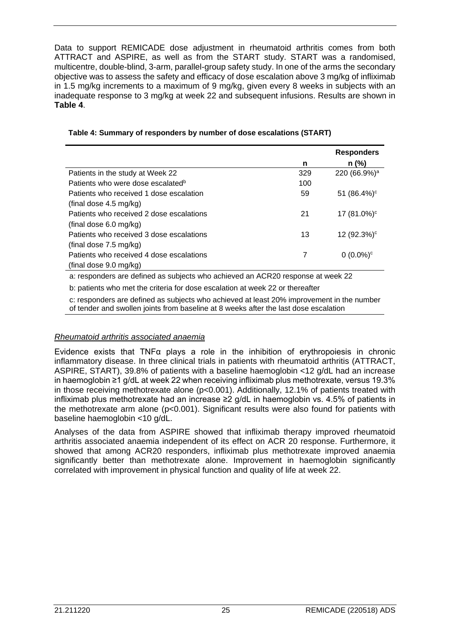Data to support REMICADE dose adjustment in rheumatoid arthritis comes from both ATTRACT and ASPIRE, as well as from the START study. START was a randomised, multicentre, double-blind, 3-arm, parallel-group safety study. In one of the arms the secondary objective was to assess the safety and efficacy of dose escalation above 3 mg/kg of infliximab in 1.5 mg/kg increments to a maximum of 9 mg/kg, given every 8 weeks in subjects with an inadequate response to 3 mg/kg at week 22 and subsequent infusions. Results are shown in **Table 4**.

|                                               |     | <b>Responders</b>          |
|-----------------------------------------------|-----|----------------------------|
|                                               | n   | $n$ (%)                    |
| Patients in the study at Week 22              | 329 | 220 (66.9%) <sup>a</sup>   |
| Patients who were dose escalated <sup>b</sup> | 100 |                            |
| Patients who received 1 dose escalation       | 59  | 51 $(86.4\%)$ <sup>c</sup> |
| (final dose $4.5 \text{ mg/kg}$ )             |     |                            |
| Patients who received 2 dose escalations      | 21  | 17 (81.0%) <sup>c</sup>    |
| (final dose 6.0 mg/kg)                        |     |                            |
| Patients who received 3 dose escalations      | 13  | 12 (92.3%) <sup>c</sup>    |
| (final dose 7.5 mg/kg)                        |     |                            |
| Patients who received 4 dose escalations      |     | $0(0.0\%)^c$               |
| (final dose 9.0 mg/kg)                        |     |                            |

#### **Table 4: Summary of responders by number of dose escalations (START)**

a: responders are defined as subjects who achieved an ACR20 response at week 22

b: patients who met the criteria for dose escalation at week 22 or thereafter

c: responders are defined as subjects who achieved at least 20% improvement in the number of tender and swollen joints from baseline at 8 weeks after the last dose escalation

#### *Rheumatoid arthritis associated anaemia*

Evidence exists that TNF $\alpha$  plays a role in the inhibition of erythropoiesis in chronic inflammatory disease. In three clinical trials in patients with rheumatoid arthritis (ATTRACT, ASPIRE, START), 39.8% of patients with a baseline haemoglobin <12 g/dL had an increase in haemoglobin ≥1 g/dL at week 22 when receiving infliximab plus methotrexate, versus 19.3% in those receiving methotrexate alone (p<0.001). Additionally, 12.1% of patients treated with infliximab plus methotrexate had an increase ≥2 g/dL in haemoglobin vs. 4.5% of patients in the methotrexate arm alone (p<0.001). Significant results were also found for patients with baseline haemoglobin <10 g/dL.

Analyses of the data from ASPIRE showed that infliximab therapy improved rheumatoid arthritis associated anaemia independent of its effect on ACR 20 response. Furthermore, it showed that among ACR20 responders, infliximab plus methotrexate improved anaemia significantly better than methotrexate alone. Improvement in haemoglobin significantly correlated with improvement in physical function and quality of life at week 22.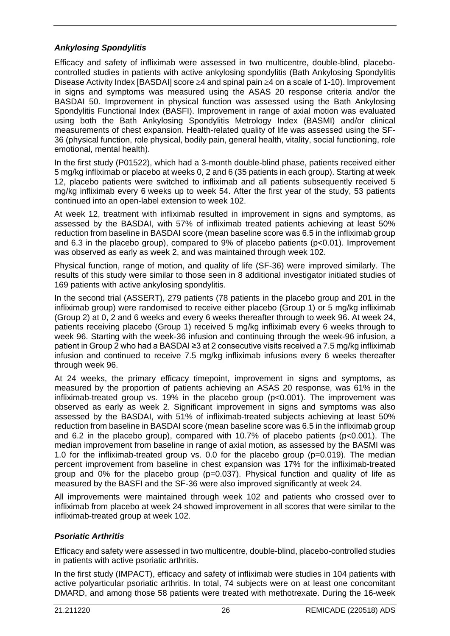#### *Ankylosing Spondylitis*

Efficacy and safety of infliximab were assessed in two multicentre, double-blind, placebocontrolled studies in patients with active ankylosing spondylitis (Bath Ankylosing Spondylitis Disease Activity Index [BASDAI] score ≥4 and spinal pain ≥4 on a scale of 1-10). Improvement in signs and symptoms was measured using the ASAS 20 response criteria and/or the BASDAI 50. Improvement in physical function was assessed using the Bath Ankylosing Spondylitis Functional Index (BASFI). Improvement in range of axial motion was evaluated using both the Bath Ankylosing Spondylitis Metrology Index (BASMI) and/or clinical measurements of chest expansion. Health-related quality of life was assessed using the SF-36 (physical function, role physical, bodily pain, general health, vitality, social functioning, role emotional, mental health).

In the first study (P01522), which had a 3-month double-blind phase, patients received either 5 mg/kg infliximab or placebo at weeks 0, 2 and 6 (35 patients in each group). Starting at week 12, placebo patients were switched to infliximab and all patients subsequently received 5 mg/kg infliximab every 6 weeks up to week 54. After the first year of the study, 53 patients continued into an open-label extension to week 102.

At week 12, treatment with infliximab resulted in improvement in signs and symptoms, as assessed by the BASDAI, with 57% of infliximab treated patients achieving at least 50% reduction from baseline in BASDAI score (mean baseline score was 6.5 in the infliximab group and 6.3 in the placebo group), compared to 9% of placebo patients (p<0.01). Improvement was observed as early as week 2, and was maintained through week 102.

Physical function, range of motion, and quality of life (SF-36) were improved similarly. The results of this study were similar to those seen in 8 additional investigator initiated studies of 169 patients with active ankylosing spondylitis.

In the second trial (ASSERT), 279 patients (78 patients in the placebo group and 201 in the infliximab group) were randomised to receive either placebo (Group 1) or 5 mg/kg infliximab (Group 2) at 0, 2 and 6 weeks and every 6 weeks thereafter through to week 96. At week 24, patients receiving placebo (Group 1) received 5 mg/kg infliximab every 6 weeks through to week 96. Starting with the week-36 infusion and continuing through the week-96 infusion, a patient in Group 2 who had a BASDAI ≥3 at 2 consecutive visits received a 7.5 mg/kg infliximab infusion and continued to receive 7.5 mg/kg infliximab infusions every 6 weeks thereafter through week 96.

At 24 weeks, the primary efficacy timepoint, improvement in signs and symptoms, as measured by the proportion of patients achieving an ASAS 20 response, was 61% in the infliximab-treated group vs. 19% in the placebo group (p<0.001). The improvement was observed as early as week 2. Significant improvement in signs and symptoms was also assessed by the BASDAI, with 51% of infliximab-treated subjects achieving at least 50% reduction from baseline in BASDAI score (mean baseline score was 6.5 in the infliximab group and 6.2 in the placebo group), compared with 10.7% of placebo patients (p<0.001). The median improvement from baseline in range of axial motion, as assessed by the BASMI was 1.0 for the infliximab-treated group vs. 0.0 for the placebo group (p=0.019). The median percent improvement from baseline in chest expansion was 17% for the infliximab-treated group and  $0\%$  for the placebo group ( $p=0.037$ ). Physical function and quality of life as measured by the BASFI and the SF-36 were also improved significantly at week 24.

All improvements were maintained through week 102 and patients who crossed over to infliximab from placebo at week 24 showed improvement in all scores that were similar to the infliximab-treated group at week 102.

#### *Psoriatic Arthritis*

Efficacy and safety were assessed in two multicentre, double-blind, placebo-controlled studies in patients with active psoriatic arthritis.

In the first study (IMPACT), efficacy and safety of infliximab were studies in 104 patients with active polyarticular psoriatic arthritis. In total, 74 subjects were on at least one concomitant DMARD, and among those 58 patients were treated with methotrexate. During the 16-week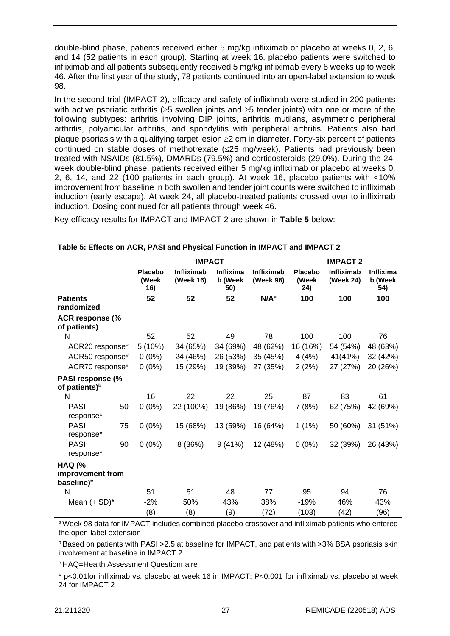double-blind phase, patients received either 5 mg/kg infliximab or placebo at weeks 0, 2, 6, and 14 (52 patients in each group). Starting at week 16, placebo patients were switched to infliximab and all patients subsequently received 5 mg/kg infliximab every 8 weeks up to week 46. After the first year of the study, 78 patients continued into an open-label extension to week 98.

In the second trial (IMPACT 2), efficacy and safety of infliximab were studied in 200 patients with active psoriatic arthritis ( $\geq$ 5 swollen joints and  $\geq$ 5 tender joints) with one or more of the following subtypes: arthritis involving DIP joints, arthritis mutilans, asymmetric peripheral arthritis, polyarticular arthritis, and spondylitis with peripheral arthritis. Patients also had plaque psoriasis with a qualifying target lesion ≥2 cm in diameter. Forty-six percent of patients continued on stable doses of methotrexate (≤25 mg/week). Patients had previously been treated with NSAIDs (81.5%), DMARDs (79.5%) and corticosteroids (29.0%). During the 24 week double-blind phase, patients received either 5 mg/kg infliximab or placebo at weeks 0, 2, 6, 14, and 22 (100 patients in each group). At week 16, placebo patients with <10% improvement from baseline in both swollen and tender joint counts were switched to infliximab induction (early escape). At week 24, all placebo-treated patients crossed over to infliximab induction. Dosing continued for all patients through week 46.

Key efficacy results for IMPACT and IMPACT 2 are shown in **Table 5** below:

|                                                             |    | <b>IMPACT</b>                  |                         |                             |                         | <b>IMPACT 2</b>                |                                |                                    |
|-------------------------------------------------------------|----|--------------------------------|-------------------------|-----------------------------|-------------------------|--------------------------------|--------------------------------|------------------------------------|
|                                                             |    | <b>Placebo</b><br>(Week<br>16) | Infliximab<br>(Week 16) | Inflixima<br>b (Week<br>50) | Infliximab<br>(Week 98) | <b>Placebo</b><br>(Week<br>24) | <b>Infliximab</b><br>(Week 24) | <b>Inflixima</b><br>b (Week<br>54) |
| <b>Patients</b><br>randomized                               |    | 52                             | 52                      | 52                          | N/A <sup>a</sup>        | 100                            | 100                            | 100                                |
| <b>ACR response (%</b><br>of patients)                      |    |                                |                         |                             |                         |                                |                                |                                    |
| N                                                           |    | 52                             | 52                      | 49                          | 78                      | 100                            | 100                            | 76                                 |
| ACR20 response*                                             |    | 5(10%)                         | 34 (65%)                | 34 (69%)                    | 48 (62%)                | 16 (16%)                       | 54 (54%)                       | 48 (63%)                           |
| ACR50 response*                                             |    | $0(0\%)$                       | 24 (46%)                | 26 (53%)                    | 35 (45%)                | 4 (4%)                         | 41(41%)                        | 32 (42%)                           |
| ACR70 response*                                             |    | $0(0\%)$                       | 15 (29%)                | 19 (39%)                    | 27 (35%)                | 2(2%)                          | 27 (27%)                       | 20 (26%)                           |
| <b>PASI response (%</b><br>of patients) <sup>b</sup>        |    |                                |                         |                             |                         |                                |                                |                                    |
| N                                                           |    | 16                             | 22                      | 22                          | 25                      | 87                             | 83                             | 61                                 |
| <b>PASI</b><br>response*                                    | 50 | $0(0\%)$                       | 22 (100%)               | 19 (86%)                    | 19 (76%)                | 7(8%)                          | 62 (75%)                       | 42 (69%)                           |
| <b>PASI</b><br>response*                                    | 75 | $0(0\%)$                       | 15 (68%)                | 13 (59%)                    | 16 (64%)                | 1(1%)                          | 50 (60%)                       | 31 (51%)                           |
| <b>PASI</b><br>response*                                    | 90 | $0(0\%)$                       | 8 (36%)                 | 9(41%)                      | 12 (48%)                | $0(0\%)$                       | 32 (39%)                       | 26 (43%)                           |
| <b>HAQ (%</b><br>improvement from<br>baseline) <sup>e</sup> |    |                                |                         |                             |                         |                                |                                |                                    |
| N                                                           |    | 51                             | 51                      | 48                          | 77                      | 95                             | 94                             | 76                                 |
| Mean $(+ SD)^*$                                             |    | $-2%$                          | 50%                     | 43%                         | 38%                     | $-19%$                         | 46%                            | 43%                                |
|                                                             |    | (8)                            | (8)                     | (9)                         | (72)                    | (103)                          | (42)                           | (96)                               |

a Week 98 data for IMPACT includes combined placebo crossover and infliximab patients who entered the open-label extension

 $b$  Based on patients with PASI  $\geq$ 2.5 at baseline for IMPACT, and patients with  $\geq$ 3% BSA psoriasis skin involvement at baseline in IMPACT 2

e HAQ=Health Assessment Questionnaire

\* p<0.01for infliximab vs. placebo at week 16 in IMPACT; P<0.001 for infliximab vs. placebo at week 24 for IMPACT 2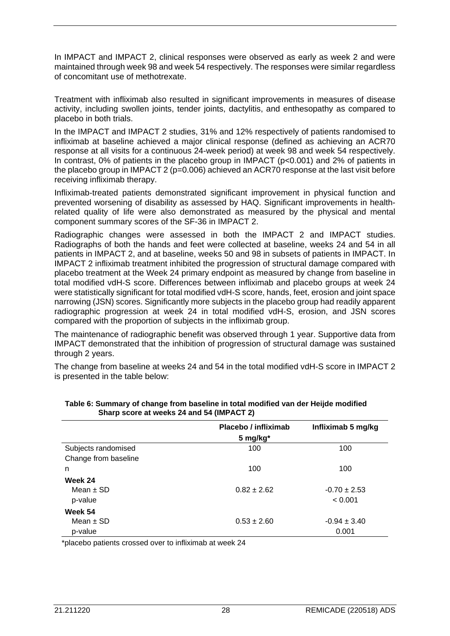In IMPACT and IMPACT 2, clinical responses were observed as early as week 2 and were maintained through week 98 and week 54 respectively. The responses were similar regardless of concomitant use of methotrexate.

Treatment with infliximab also resulted in significant improvements in measures of disease activity, including swollen joints, tender joints, dactylitis, and enthesopathy as compared to placebo in both trials.

In the IMPACT and IMPACT 2 studies, 31% and 12% respectively of patients randomised to infliximab at baseline achieved a major clinical response (defined as achieving an ACR70 response at all visits for a continuous 24-week period) at week 98 and week 54 respectively. In contrast, 0% of patients in the placebo group in IMPACT (p<0.001) and 2% of patients in the placebo group in IMPACT 2 (p=0.006) achieved an ACR70 response at the last visit before receiving infliximab therapy.

Infliximab-treated patients demonstrated significant improvement in physical function and prevented worsening of disability as assessed by HAQ. Significant improvements in healthrelated quality of life were also demonstrated as measured by the physical and mental component summary scores of the SF-36 in IMPACT 2.

Radiographic changes were assessed in both the IMPACT 2 and IMPACT studies. Radiographs of both the hands and feet were collected at baseline, weeks 24 and 54 in all patients in IMPACT 2, and at baseline, weeks 50 and 98 in subsets of patients in IMPACT. In IMPACT 2 infliximab treatment inhibited the progression of structural damage compared with placebo treatment at the Week 24 primary endpoint as measured by change from baseline in total modified vdH-S score. Differences between infliximab and placebo groups at week 24 were statistically significant for total modified vdH-S score, hands, feet, erosion and joint space narrowing (JSN) scores. Significantly more subjects in the placebo group had readily apparent radiographic progression at week 24 in total modified vdH-S, erosion, and JSN scores compared with the proportion of subjects in the infliximab group.

The maintenance of radiographic benefit was observed through 1 year. Supportive data from IMPACT demonstrated that the inhibition of progression of structural damage was sustained through 2 years.

The change from baseline at weeks 24 and 54 in the total modified vdH-S score in IMPACT 2 is presented in the table below:

|                      | Placebo / infliximab | Infliximab 5 mg/kg |
|----------------------|----------------------|--------------------|
|                      | 5 mg/kg*             |                    |
| Subjects randomised  | 100                  | 100                |
| Change from baseline |                      |                    |
| n                    | 100                  | 100                |
| Week 24              |                      |                    |
| Mean $\pm$ SD        | $0.82 \pm 2.62$      | $-0.70 \pm 2.53$   |
| p-value              |                      | < 0.001            |
| Week 54              |                      |                    |
| Mean $\pm$ SD        | $0.53 \pm 2.60$      | $-0.94 \pm 3.40$   |
| p-value              |                      | 0.001              |

**Table 6: Summary of change from baseline in total modified van der Heijde modified Sharp score at weeks 24 and 54 (IMPACT 2)**

\*placebo patients crossed over to infliximab at week 24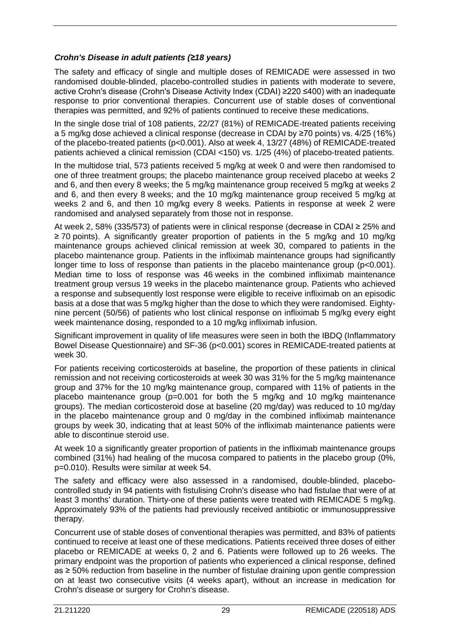#### *Crohn's Disease in adult patients (≥18 years)*

The safety and efficacy of single and multiple doses of REMICADE were assessed in two randomised double-blinded, placebo-controlled studies in patients with moderate to severe, active Crohn's disease (Crohn's Disease Activity Index (CDAI) ≥220 ≤400) with an inadequate response to prior conventional therapies. Concurrent use of stable doses of conventional therapies was permitted, and 92% of patients continued to receive these medications.

In the single dose trial of 108 patients, 22/27 (81%) of REMICADE-treated patients receiving a 5 mg/kg dose achieved a clinical response (decrease in CDAI by ≥70 points) vs. 4/25 (16%) of the placebo-treated patients (p<0.001). Also at week 4, 13/27 (48%) of REMICADE-treated patients achieved a clinical remission (CDAI <150) vs. 1/25 (4%) of placebo-treated patients.

In the multidose trial, 573 patients received 5 mg/kg at week 0 and were then randomised to one of three treatment groups; the placebo maintenance group received placebo at weeks 2 and 6, and then every 8 weeks; the 5 mg/kg maintenance group received 5 mg/kg at weeks 2 and 6, and then every 8 weeks; and the 10 mg/kg maintenance group received 5 mg/kg at weeks 2 and 6, and then 10 mg/kg every 8 weeks. Patients in response at week 2 were randomised and analysed separately from those not in response.

At week 2, 58% (335/573) of patients were in clinical response (decrease in CDAI ≥ 25% and ≥ 70 points). A significantly greater proportion of patients in the 5 mg/kg and 10 mg/kg maintenance groups achieved clinical remission at week 30, compared to patients in the placebo maintenance group. Patients in the infliximab maintenance groups had significantly longer time to loss of response than patients in the placebo maintenance group ( $p<0.001$ ). Median time to loss of response was 46 weeks in the combined infliximab maintenance treatment group versus 19 weeks in the placebo maintenance group. Patients who achieved a response and subsequently lost response were eligible to receive infliximab on an episodic basis at a dose that was 5 mg/kg higher than the dose to which they were randomised. Eightynine percent (50/56) of patients who lost clinical response on infliximab 5 mg/kg every eight week maintenance dosing, responded to a 10 mg/kg infliximab infusion.

Significant improvement in quality of life measures were seen in both the IBDQ (Inflammatory Bowel Disease Questionnaire) and SF-36 (p<0.001) scores in REMICADE-treated patients at week 30.

For patients receiving corticosteroids at baseline, the proportion of these patients in clinical remission and not receiving corticosteroids at week 30 was 31% for the 5 mg/kg maintenance group and 37% for the 10 mg/kg maintenance group, compared with 11% of patients in the placebo maintenance group (p=0.001 for both the 5 mg/kg and 10 mg/kg maintenance groups). The median corticosteroid dose at baseline (20 mg/day) was reduced to 10 mg/day in the placebo maintenance group and 0 mg/day in the combined infliximab maintenance groups by week 30, indicating that at least 50% of the infliximab maintenance patients were able to discontinue steroid use.

At week 10 a significantly greater proportion of patients in the infliximab maintenance groups combined (31%) had healing of the mucosa compared to patients in the placebo group (0%, p=0.010). Results were similar at week 54.

The safety and efficacy were also assessed in a randomised, double-blinded, placebocontrolled study in 94 patients with fistulising Crohn's disease who had fistulae that were of at least 3 months' duration. Thirty-one of these patients were treated with REMICADE 5 mg/kg. Approximately 93% of the patients had previously received antibiotic or immunosuppressive therapy.

Concurrent use of stable doses of conventional therapies was permitted, and 83% of patients continued to receive at least one of these medications. Patients received three doses of either placebo or REMICADE at weeks 0, 2 and 6. Patients were followed up to 26 weeks. The primary endpoint was the proportion of patients who experienced a clinical response, defined as ≥ 50% reduction from baseline in the number of fistulae draining upon gentle compression on at least two consecutive visits (4 weeks apart), without an increase in medication for Crohn's disease or surgery for Crohn's disease.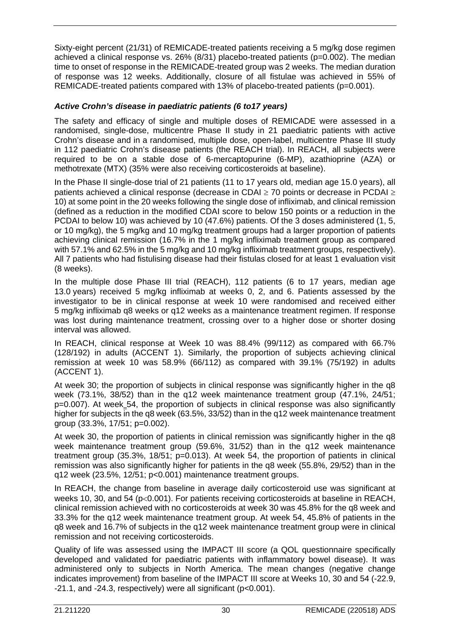Sixty-eight percent (21/31) of REMICADE-treated patients receiving a 5 mg/kg dose regimen achieved a clinical response vs. 26% (8/31) placebo-treated patients (p=0.002). The median time to onset of response in the REMICADE-treated group was 2 weeks. The median duration of response was 12 weeks. Additionally, closure of all fistulae was achieved in 55% of REMICADE-treated patients compared with 13% of placebo-treated patients (p=0.001).

#### *Active Crohn's disease in paediatric patients (6 to17 years)*

The safety and efficacy of single and multiple doses of REMICADE were assessed in a randomised, single-dose, multicentre Phase II study in 21 paediatric patients with active Crohn's disease and in a randomised, multiple dose, open-label, multicentre Phase III study in 112 paediatric Crohn's disease patients (the REACH trial). In REACH, all subjects were required to be on a stable dose of 6-mercaptopurine (6-MP), azathioprine (AZA) or methotrexate (MTX) (35% were also receiving corticosteroids at baseline).

In the Phase II single-dose trial of 21 patients (11 to 17 years old, median age 15.0 years), all patients achieved a clinical response (decrease in CDAI ≥ 70 points or decrease in PCDAI ≥ 10) at some point in the 20 weeks following the single dose of infliximab, and clinical remission (defined as a reduction in the modified CDAI score to below 150 points or a reduction in the PCDAI to below 10) was achieved by 10 (47.6%) patients. Of the 3 doses administered (1, 5, or 10 mg/kg), the 5 mg/kg and 10 mg/kg treatment groups had a larger proportion of patients achieving clinical remission (16.7% in the 1 mg/kg infliximab treatment group as compared with 57.1% and 62.5% in the 5 mg/kg and 10 mg/kg infliximab treatment groups, respectively). All 7 patients who had fistulising disease had their fistulas closed for at least 1 evaluation visit (8 weeks).

In the multiple dose Phase III trial (REACH), 112 patients (6 to 17 years, median age 13.0 years) received 5 mg/kg infliximab at weeks 0, 2, and 6. Patients assessed by the investigator to be in clinical response at week 10 were randomised and received either 5 mg/kg infliximab q8 weeks or q12 weeks as a maintenance treatment regimen. If response was lost during maintenance treatment, crossing over to a higher dose or shorter dosing interval was allowed.

In REACH, clinical response at Week 10 was 88.4% (99/112) as compared with 66.7% (128/192) in adults (ACCENT 1). Similarly, the proportion of subjects achieving clinical remission at week 10 was 58.9% (66/112) as compared with 39.1% (75/192) in adults (ACCENT 1).

At week 30; the proportion of subjects in clinical response was significantly higher in the q8 week (73.1%, 38/52) than in the q12 week maintenance treatment group (47.1%, 24/51; p=0.007). At week 54, the proportion of subjects in clinical response was also significantly higher for subjects in the q8 week (63.5%, 33/52) than in the q12 week maintenance treatment group (33.3%, 17/51; p=0.002).

At week 30, the proportion of patients in clinical remission was significantly higher in the q8 week maintenance treatment group (59.6%, 31/52) than in the q12 week maintenance treatment group (35.3%, 18/51; p=0.013). At week 54, the proportion of patients in clinical remission was also significantly higher for patients in the q8 week (55.8%, 29/52) than in the q12 week (23.5%, 12/51; p<0.001) maintenance treatment groups.

In REACH, the change from baseline in average daily corticosteroid use was significant at weeks 10, 30, and 54 (p<0.001). For patients receiving corticosteroids at baseline in REACH, clinical remission achieved with no corticosteroids at week 30 was 45.8% for the q8 week and 33.3% for the q12 week maintenance treatment group. At week 54, 45.8% of patients in the q8 week and 16.7% of subjects in the q12 week maintenance treatment group were in clinical remission and not receiving corticosteroids.

Quality of life was assessed using the IMPACT III score (a QOL questionnaire specifically developed and validated for paediatric patients with inflammatory bowel disease). It was administered only to subjects in North America. The mean changes (negative change indicates improvement) from baseline of the IMPACT III score at Weeks 10, 30 and 54 (-22.9, -21.1, and -24.3, respectively) were all significant (p<0.001).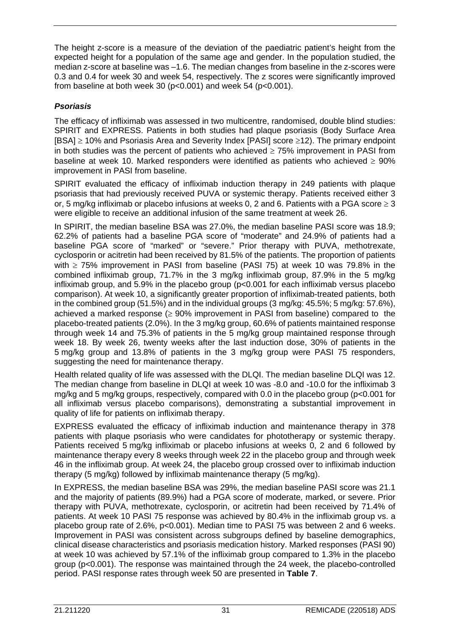The height z-score is a measure of the deviation of the paediatric patient's height from the expected height for a population of the same age and gender. In the population studied, the median z-score at baseline was –1.6. The median changes from baseline in the z-scores were 0.3 and 0.4 for week 30 and week 54, respectively. The z scores were significantly improved from baseline at both week 30 ( $p<0.001$ ) and week 54 ( $p<0.001$ ).

#### *Psoriasis*

The efficacy of infliximab was assessed in two multicentre, randomised, double blind studies: SPIRIT and EXPRESS. Patients in both studies had plaque psoriasis (Body Surface Area [BSA] ≥ 10% and Psoriasis Area and Severity Index [PASI] score ≥12). The primary endpoint in both studies was the percent of patients who achieved  $\geq 75\%$  improvement in PASI from baseline at week 10. Marked responders were identified as patients who achieved  $\geq 90\%$ improvement in PASI from baseline.

SPIRIT evaluated the efficacy of infliximab induction therapy in 249 patients with plaque psoriasis that had previously received PUVA or systemic therapy. Patients received either 3 or, 5 mg/kg infliximab or placebo infusions at weeks 0, 2 and 6. Patients with a PGA score  $\geq 3$ were eligible to receive an additional infusion of the same treatment at week 26.

In SPIRIT, the median baseline BSA was 27.0%, the median baseline PASI score was 18.9; 62.2% of patients had a baseline PGA score of "moderate" and 24.9% of patients had a baseline PGA score of "marked" or "severe." Prior therapy with PUVA, methotrexate, cyclosporin or acitretin had been received by 81.5% of the patients. The proportion of patients with ≥ 75% improvement in PASI from baseline (PASI 75) at week 10 was 79.8% in the combined infliximab group, 71.7% in the 3 mg/kg infliximab group, 87.9% in the 5 mg/kg infliximab group, and 5.9% in the placebo group (p<0.001 for each infliximab versus placebo comparison). At week 10, a significantly greater proportion of infliximab-treated patients, both in the combined group (51.5%) and in the individual groups (3 mg/kg: 45.5%; 5 mg/kg: 57.6%), achieved a marked response  $(> 90\%$  improvement in PASI from baseline) compared to the placebo-treated patients (2.0%). In the 3 mg/kg group, 60.6% of patients maintained response through week 14 and 75.3% of patients in the 5 mg/kg group maintained response through week 18. By week 26, twenty weeks after the last induction dose, 30% of patients in the 5 mg/kg group and 13.8% of patients in the 3 mg/kg group were PASI 75 responders, suggesting the need for maintenance therapy.

Health related quality of life was assessed with the DLQI. The median baseline DLQI was 12. The median change from baseline in DLQI at week 10 was -8.0 and -10.0 for the infliximab 3 mg/kg and 5 mg/kg groups, respectively, compared with 0.0 in the placebo group (p<0.001 for all infliximab versus placebo comparisons), demonstrating a substantial improvement in quality of life for patients on infliximab therapy.

EXPRESS evaluated the efficacy of infliximab induction and maintenance therapy in 378 patients with plaque psoriasis who were candidates for phototherapy or systemic therapy. Patients received 5 mg/kg infliximab or placebo infusions at weeks 0, 2 and 6 followed by maintenance therapy every 8 weeks through week 22 in the placebo group and through week 46 in the infliximab group. At week 24, the placebo group crossed over to infliximab induction therapy (5 mg/kg) followed by infliximab maintenance therapy (5 mg/kg).

In EXPRESS, the median baseline BSA was 29%, the median baseline PASI score was 21.1 and the majority of patients (89.9%) had a PGA score of moderate, marked, or severe. Prior therapy with PUVA, methotrexate, cyclosporin, or acitretin had been received by 71.4% of patients. At week 10 PASI 75 response was achieved by 80.4% in the infliximab group vs. a placebo group rate of 2.6%, p<0.001). Median time to PASI 75 was between 2 and 6 weeks. Improvement in PASI was consistent across subgroups defined by baseline demographics, clinical disease characteristics and psoriasis medication history. Marked responses (PASI 90) at week 10 was achieved by 57.1% of the infliximab group compared to 1.3% in the placebo group (p<0.001). The response was maintained through the 24 week, the placebo-controlled period. PASI response rates through week 50 are presented in **Table 7**.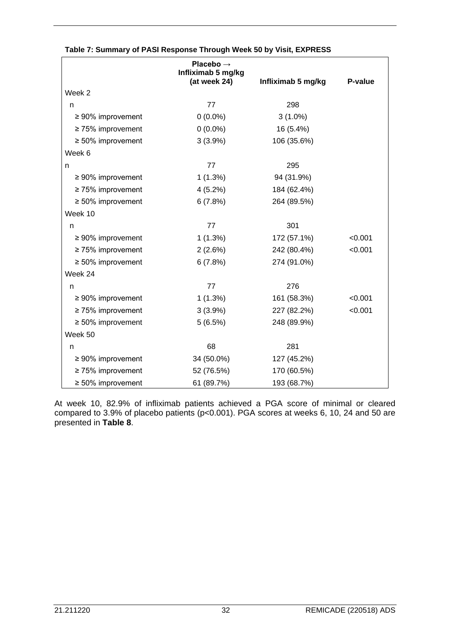|                         | Placebo $\rightarrow$<br>Infliximab 5 mg/kg<br>(at week 24) | Infliximab 5 mg/kg | P-value |
|-------------------------|-------------------------------------------------------------|--------------------|---------|
| Week 2                  |                                                             |                    |         |
| n                       | 77                                                          | 298                |         |
| $\geq 90\%$ improvement | $0(0.0\%)$                                                  | $3(1.0\%)$         |         |
| $\geq$ 75% improvement  | $0(0.0\%)$                                                  | 16 (5.4%)          |         |
| $\geq 50\%$ improvement | 3(3.9%)                                                     | 106 (35.6%)        |         |
| Week 6                  |                                                             |                    |         |
| n                       | 77                                                          | 295                |         |
| $\geq 90\%$ improvement | 1(1.3%)                                                     | 94 (31.9%)         |         |
| $\geq$ 75% improvement  | 4(5.2%)                                                     | 184 (62.4%)        |         |
| $\geq 50\%$ improvement | 6(7.8%)                                                     | 264 (89.5%)        |         |
| Week 10                 |                                                             |                    |         |
| n                       | 77                                                          | 301                |         |
| $\geq 90\%$ improvement | 1(1.3%)                                                     | 172 (57.1%)        | < 0.001 |
| $\geq$ 75% improvement  | 2(2.6%)                                                     | 242 (80.4%)        | < 0.001 |
| $\geq 50\%$ improvement | 6(7.8%)                                                     | 274 (91.0%)        |         |
| Week 24                 |                                                             |                    |         |
| n                       | 77                                                          | 276                |         |
| $\geq 90\%$ improvement | 1(1.3%)                                                     | 161 (58.3%)        | < 0.001 |
| $\geq$ 75% improvement  | $3(3.9\%)$                                                  | 227 (82.2%)        | < 0.001 |
| $\geq 50\%$ improvement | 5(6.5%)                                                     | 248 (89.9%)        |         |
| Week 50                 |                                                             |                    |         |
| n                       | 68                                                          | 281                |         |
| $\geq 90\%$ improvement | 34 (50.0%)                                                  | 127 (45.2%)        |         |
| $\geq$ 75% improvement  | 52 (76.5%)                                                  | 170 (60.5%)        |         |
| $\geq 50\%$ improvement | 61 (89.7%)                                                  | 193 (68.7%)        |         |

#### **Table 7: Summary of PASI Response Through Week 50 by Visit, EXPRESS**

At week 10, 82.9% of infliximab patients achieved a PGA score of minimal or cleared compared to 3.9% of placebo patients (p<0.001). PGA scores at weeks 6, 10, 24 and 50 are presented in **Table 8**.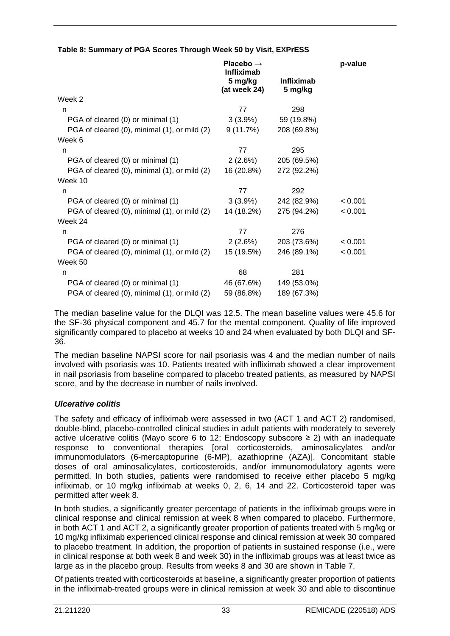| Table 8: Summary of PGA Scores Through Week 50 by Visit, EXPrESS |  |  |  |  |
|------------------------------------------------------------------|--|--|--|--|
|                                                                  |  |  |  |  |

|                                              | Placebo $\rightarrow$<br><b>Infliximab</b> | p-value                      |         |
|----------------------------------------------|--------------------------------------------|------------------------------|---------|
|                                              | 5 mg/kg<br>(at week 24)                    | <b>Infliximab</b><br>5 mg/kg |         |
| Week 2                                       |                                            |                              |         |
| n                                            | 77                                         | 298                          |         |
| PGA of cleared (0) or minimal (1)            | $3(3.9\%)$                                 | 59 (19.8%)                   |         |
| PGA of cleared (0), minimal (1), or mild (2) | 9 (11.7%)                                  | 208 (69.8%)                  |         |
| Week 6                                       |                                            |                              |         |
| n                                            | 77                                         | 295                          |         |
| PGA of cleared (0) or minimal (1)            | 2(2.6%)                                    | 205 (69.5%)                  |         |
| PGA of cleared (0), minimal (1), or mild (2) | 16 (20.8%)                                 | 272 (92.2%)                  |         |
| Week 10                                      |                                            |                              |         |
| n                                            | 77                                         | 292                          |         |
| PGA of cleared (0) or minimal (1)            | $3(3.9\%)$                                 | 242 (82.9%)                  | < 0.001 |
| PGA of cleared (0), minimal (1), or mild (2) | 14 (18.2%)                                 | 275 (94.2%)                  | < 0.001 |
| Week 24                                      |                                            |                              |         |
| n                                            | 77                                         | 276                          |         |
| PGA of cleared (0) or minimal (1)            | 2 (2.6%)                                   | 203 (73.6%)                  | < 0.001 |
| PGA of cleared (0), minimal (1), or mild (2) | 15 (19.5%)                                 | 246 (89.1%)                  | < 0.001 |
| Week 50                                      |                                            |                              |         |
| n                                            | 68                                         | 281                          |         |
| PGA of cleared (0) or minimal (1)            | 46 (67.6%)                                 | 149 (53.0%)                  |         |
| PGA of cleared (0), minimal (1), or mild (2) | 59 (86.8%)                                 | 189 (67.3%)                  |         |

The median baseline value for the DLQI was 12.5. The mean baseline values were 45.6 for the SF-36 physical component and 45.7 for the mental component. Quality of life improved significantly compared to placebo at weeks 10 and 24 when evaluated by both DLQI and SF-36.

The median baseline NAPSI score for nail psoriasis was 4 and the median number of nails involved with psoriasis was 10. Patients treated with infliximab showed a clear improvement in nail psoriasis from baseline compared to placebo treated patients, as measured by NAPSI score, and by the decrease in number of nails involved.

#### *Ulcerative colitis*

The safety and efficacy of infliximab were assessed in two (ACT 1 and ACT 2) randomised, double-blind, placebo-controlled clinical studies in adult patients with moderately to severely active ulcerative colitis (Mayo score 6 to 12; Endoscopy subscore  $\geq$  2) with an inadequate response to conventional therapies [oral corticosteroids, aminosalicylates and/or immunomodulators (6-mercaptopurine (6-MP), azathioprine (AZA)]. Concomitant stable doses of oral aminosalicylates, corticosteroids, and/or immunomodulatory agents were permitted. In both studies, patients were randomised to receive either placebo 5 mg/kg infliximab, or 10 mg/kg infliximab at weeks 0, 2, 6, 14 and 22. Corticosteroid taper was permitted after week 8.

In both studies, a significantly greater percentage of patients in the infliximab groups were in clinical response and clinical remission at week 8 when compared to placebo. Furthermore, in both ACT 1 and ACT 2, a significantly greater proportion of patients treated with 5 mg/kg or 10 mg/kg infliximab experienced clinical response and clinical remission at week 30 compared to placebo treatment. In addition, the proportion of patients in sustained response (i.e., were in clinical response at both week 8 and week 30) in the infliximab groups was at least twice as large as in the placebo group. Results from weeks 8 and 30 are shown in Table 7.

Of patients treated with corticosteroids at baseline, a significantly greater proportion of patients in the infliximab-treated groups were in clinical remission at week 30 and able to discontinue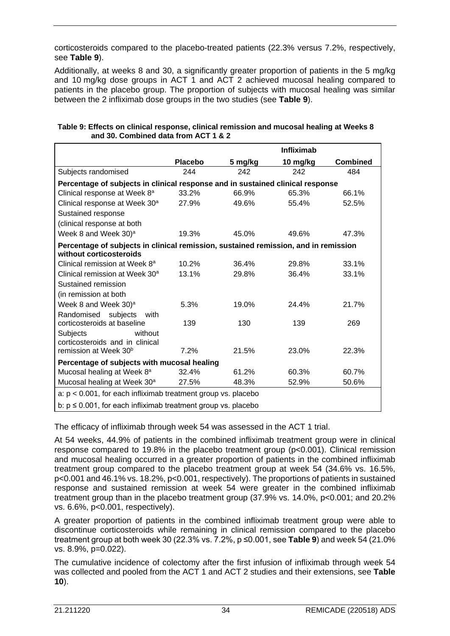corticosteroids compared to the placebo-treated patients (22.3% versus 7.2%, respectively, see **Table 9**).

Additionally, at weeks 8 and 30, a significantly greater proportion of patients in the 5 mg/kg and 10 mg/kg dose groups in ACT 1 and ACT 2 achieved mucosal healing compared to patients in the placebo group. The proportion of subjects with mucosal healing was similar between the 2 infliximab dose groups in the two studies (see **Table 9**).

|                                                                                     |         |         | <b>Infliximab</b> |                 |  |  |
|-------------------------------------------------------------------------------------|---------|---------|-------------------|-----------------|--|--|
|                                                                                     | Placebo | 5 mg/kg | 10 mg/kg          | <b>Combined</b> |  |  |
| Subjects randomised                                                                 | 244     | 242     | 242               | 484             |  |  |
| Percentage of subjects in clinical response and in sustained clinical response      |         |         |                   |                 |  |  |
| Clinical response at Week 8 <sup>a</sup>                                            | 33.2%   | 66.9%   | 65.3%             | 66.1%           |  |  |
| Clinical response at Week 30 <sup>a</sup>                                           | 27.9%   | 49.6%   | 55.4%             | 52.5%           |  |  |
| Sustained response                                                                  |         |         |                   |                 |  |  |
| (clinical response at both                                                          |         |         |                   |                 |  |  |
| Week 8 and Week 30) <sup>a</sup>                                                    | 19.3%   | 45.0%   | 49.6%             | 47.3%           |  |  |
| Percentage of subjects in clinical remission, sustained remission, and in remission |         |         |                   |                 |  |  |
| without corticosteroids                                                             |         |         |                   |                 |  |  |
| Clinical remission at Week 8 <sup>a</sup>                                           | 10.2%   | 36.4%   | 29.8%             | 33.1%           |  |  |
| Clinical remission at Week 30 <sup>a</sup>                                          | 13.1%   | 29.8%   | 36.4%             | 33.1%           |  |  |
| Sustained remission                                                                 |         |         |                   |                 |  |  |
| (in remission at both                                                               |         |         |                   |                 |  |  |
| Week 8 and Week 30) <sup>a</sup>                                                    | 5.3%    | 19.0%   | 24.4%             | 21.7%           |  |  |
| Randomised subjects<br>with                                                         |         |         |                   |                 |  |  |
| corticosteroids at baseline                                                         | 139     | 130     | 139               | 269             |  |  |
| <b>Subjects</b><br>without                                                          |         |         |                   |                 |  |  |
| corticosteroids and in clinical<br>remission at Week 30 <sup>b</sup>                | 7.2%    | 21.5%   | 23.0%             | 22.3%           |  |  |
|                                                                                     |         |         |                   |                 |  |  |
| Percentage of subjects with mucosal healing                                         |         |         |                   |                 |  |  |
| Mucosal healing at Week 8 <sup>a</sup>                                              | 32.4%   | 61.2%   | 60.3%             | 60.7%           |  |  |
| Mucosal healing at Week 30 <sup>a</sup>                                             | 27.5%   | 48.3%   | 52.9%             | 50.6%           |  |  |
| $a: p < 0.001$ , for each infliximab treatment group vs. placebo                    |         |         |                   |                 |  |  |
| b: $p \le 0.001$ , for each infliximab treatment group vs. placebo                  |         |         |                   |                 |  |  |

#### **Table 9: Effects on clinical response, clinical remission and mucosal healing at Weeks 8 and 30. Combined data from ACT 1 & 2**

The efficacy of infliximab through week 54 was assessed in the ACT 1 trial.

At 54 weeks, 44.9% of patients in the combined infliximab treatment group were in clinical response compared to 19.8% in the placebo treatment group (p<0.001). Clinical remission and mucosal healing occurred in a greater proportion of patients in the combined infliximab treatment group compared to the placebo treatment group at week 54 (34.6% vs. 16.5%, p<0.001 and 46.1% vs. 18.2%, p<0.001, respectively). The proportions of patients in sustained response and sustained remission at week 54 were greater in the combined infliximab treatment group than in the placebo treatment group (37.9% vs. 14.0%, p<0.001; and 20.2% vs. 6.6%, p<0.001, respectively).

A greater proportion of patients in the combined infliximab treatment group were able to discontinue corticosteroids while remaining in clinical remission compared to the placebo treatment group at both week 30 (22.3% vs. 7.2%, p ≤0.001, see **Table 9**) and week 54 (21.0% vs. 8.9%, p=0.022).

The cumulative incidence of colectomy after the first infusion of infliximab through week 54 was collected and pooled from the ACT 1 and ACT 2 studies and their extensions, see **Table 10**).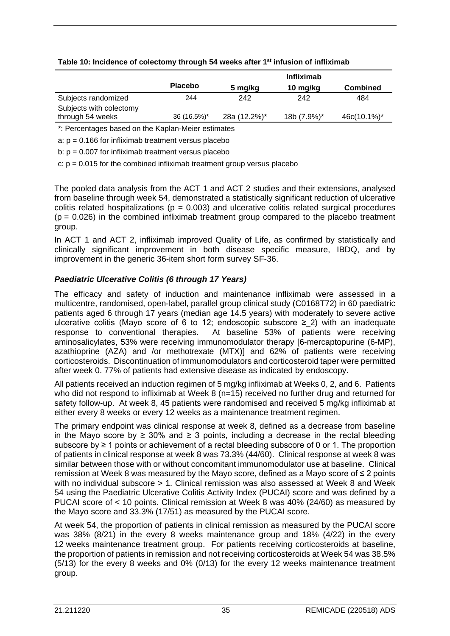|                         |                | <b>Infliximab</b> |             |                 |
|-------------------------|----------------|-------------------|-------------|-----------------|
|                         | <b>Placebo</b> | 5 mg/kg           | 10 mg/kg    | <b>Combined</b> |
| Subjects randomized     | 244            | 242               | 242         | 484             |
| Subjects with colectomy |                |                   |             |                 |
| through 54 weeks        | 36 (16.5%)*    | 28a (12.2%)*      | 18b (7.9%)* | 46c(10.1%)*     |

#### **Table 10: Incidence of colectomy through 54 weeks after 1st infusion of infliximab**

\*: Percentages based on the Kaplan-Meier estimates

a:  $p = 0.166$  for infliximab treatment versus placebo

b:  $p = 0.007$  for infliximab treatment versus placebo

c:  $p = 0.015$  for the combined infliximab treatment group versus placebo

The pooled data analysis from the ACT 1 and ACT 2 studies and their extensions, analysed from baseline through week 54, demonstrated a statistically significant reduction of ulcerative colitis related hospitalizations ( $p = 0.003$ ) and ulcerative colitis related surgical procedures  $(p = 0.026)$  in the combined infliximab treatment group compared to the placebo treatment group.

In ACT 1 and ACT 2, infliximab improved Quality of Life, as confirmed by statistically and clinically significant improvement in both disease specific measure, IBDQ, and by improvement in the generic 36-item short form survey SF-36.

#### *Paediatric Ulcerative Colitis (6 through 17 Years)*

The efficacy and safety of induction and maintenance infliximab were assessed in a multicentre, randomised, open-label, parallel group clinical study (C0168T72) in 60 paediatric patients aged 6 through 17 years (median age 14.5 years) with moderately to severe active ulcerative colitis (Mayo score of 6 to 12; endoscopic subscore ≥  $2$ ) with an inadequate response to conventional therapies. At baseline 53% of patients were receiving aminosalicylates, 53% were receiving immunomodulator therapy [6-mercaptopurine (6-MP), azathioprine (AZA) and /or methotrexate (MTX)] and 62% of patients were receiving corticosteroids. Discontinuation of immunomodulators and corticosteroid taper were permitted after week 0. 77% of patients had extensive disease as indicated by endoscopy.

All patients received an induction regimen of 5 mg/kg infliximab at Weeks 0, 2, and 6. Patients who did not respond to infliximab at Week 8 (n=15) received no further drug and returned for safety follow-up. At week 8, 45 patients were randomised and received 5 mg/kg infliximab at either every 8 weeks or every 12 weeks as a maintenance treatment regimen.

The primary endpoint was clinical response at week 8, defined as a decrease from baseline in the Mayo score by ≥ 30% and ≥ 3 points, including a decrease in the rectal bleeding subscore by ≥ 1 points or achievement of a rectal bleeding subscore of 0 or 1. The proportion of patients in clinical response at week 8 was 73.3% (44/60). Clinical response at week 8 was similar between those with or without concomitant immunomodulator use at baseline. Clinical remission at Week 8 was measured by the Mayo score, defined as a Mayo score of ≤ 2 points with no individual subscore > 1. Clinical remission was also assessed at Week 8 and Week 54 using the Paediatric Ulcerative Colitis Activity Index (PUCAI) score and was defined by a PUCAI score of < 10 points. Clinical remission at Week 8 was 40% (24/60) as measured by the Mayo score and 33.3% (17/51) as measured by the PUCAI score.

At week 54, the proportion of patients in clinical remission as measured by the PUCAI score was 38% (8/21) in the every 8 weeks maintenance group and 18% (4/22) in the every 12 weeks maintenance treatment group. For patients receiving corticosteroids at baseline, the proportion of patients in remission and not receiving corticosteroids at Week 54 was 38.5% (5/13) for the every 8 weeks and 0% (0/13) for the every 12 weeks maintenance treatment group.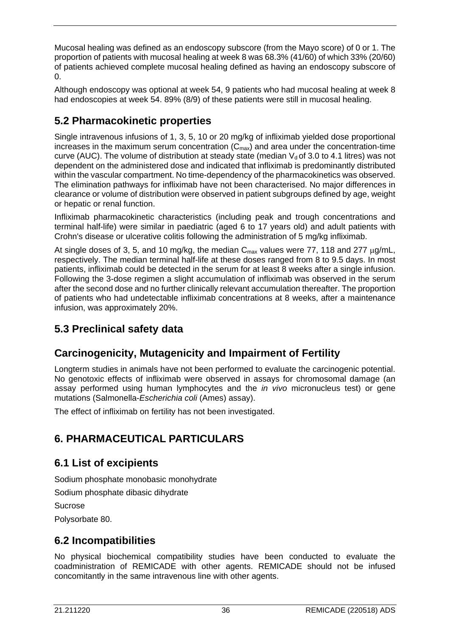Mucosal healing was defined as an endoscopy subscore (from the Mayo score) of 0 or 1. The proportion of patients with mucosal healing at week 8 was 68.3% (41/60) of which 33% (20/60) of patients achieved complete mucosal healing defined as having an endoscopy subscore of 0.

Although endoscopy was optional at week 54, 9 patients who had mucosal healing at week 8 had endoscopies at week 54. 89% (8/9) of these patients were still in mucosal healing.

# **5.2 Pharmacokinetic properties**

Single intravenous infusions of 1, 3, 5, 10 or 20 mg/kg of infliximab yielded dose proportional increases in the maximum serum concentration  $(C_{\text{max}})$  and area under the concentration-time curve (AUC). The volume of distribution at steady state (median  $V_d$  of 3.0 to 4.1 litres) was not dependent on the administered dose and indicated that infliximab is predominantly distributed within the vascular compartment. No time-dependency of the pharmacokinetics was observed. The elimination pathways for infliximab have not been characterised. No major differences in clearance or volume of distribution were observed in patient subgroups defined by age, weight or hepatic or renal function.

Infliximab pharmacokinetic characteristics (including peak and trough concentrations and terminal half-life) were similar in paediatric (aged 6 to 17 years old) and adult patients with Crohn's disease or ulcerative colitis following the administration of 5 mg/kg infliximab.

At single doses of 3, 5, and 10 mg/kg, the median  $C_{\text{max}}$  values were 77, 118 and 277  $\mu$ g/mL, respectively. The median terminal half-life at these doses ranged from 8 to 9.5 days. In most patients, infliximab could be detected in the serum for at least 8 weeks after a single infusion. Following the 3-dose regimen a slight accumulation of infliximab was observed in the serum after the second dose and no further clinically relevant accumulation thereafter. The proportion of patients who had undetectable infliximab concentrations at 8 weeks, after a maintenance infusion, was approximately 20%.

# **5.3 Preclinical safety data**

# **Carcinogenicity, Mutagenicity and Impairment of Fertility**

Longterm studies in animals have not been performed to evaluate the carcinogenic potential. No genotoxic effects of infliximab were observed in assays for chromosomal damage (an assay performed using human lymphocytes and the *in vivo* micronucleus test) or gene mutations (Salmonella-*Escherichia coli* (Ames) assay).

The effect of infliximab on fertility has not been investigated.

# **6. PHARMACEUTICAL PARTICULARS**

# **6.1 List of excipients**

Sodium phosphate monobasic monohydrate

Sodium phosphate dibasic dihydrate

Sucrose

Polysorbate 80.

## **6.2 Incompatibilities**

No physical biochemical compatibility studies have been conducted to evaluate the coadministration of REMICADE with other agents. REMICADE should not be infused concomitantly in the same intravenous line with other agents.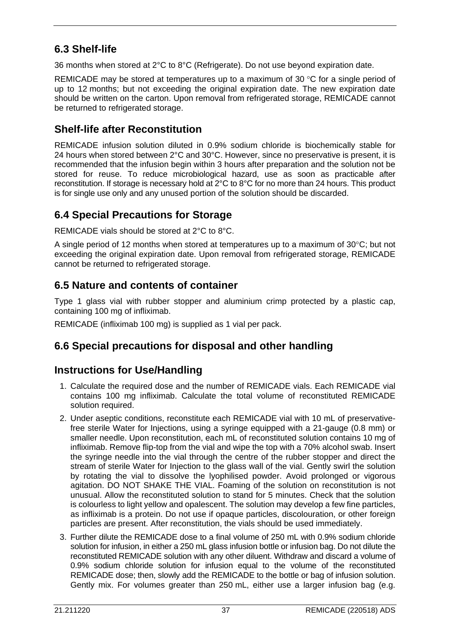# **6.3 Shelf-life**

36 months when stored at 2°C to 8°C (Refrigerate). Do not use beyond expiration date.

REMICADE may be stored at temperatures up to a maximum of 30 °C for a single period of up to 12 months; but not exceeding the original expiration date. The new expiration date should be written on the carton. Upon removal from refrigerated storage, REMICADE cannot be returned to refrigerated storage.

## **Shelf-life after Reconstitution**

REMICADE infusion solution diluted in 0.9% sodium chloride is biochemically stable for 24 hours when stored between 2°C and 30°C. However, since no preservative is present, it is recommended that the infusion begin within 3 hours after preparation and the solution not be stored for reuse. To reduce microbiological hazard, use as soon as practicable after reconstitution. If storage is necessary hold at 2°C to 8°C for no more than 24 hours. This product is for single use only and any unused portion of the solution should be discarded.

## **6.4 Special Precautions for Storage**

REMICADE vials should be stored at 2°C to 8°C.

A single period of 12 months when stored at temperatures up to a maximum of 30°C; but not exceeding the original expiration date. Upon removal from refrigerated storage, REMICADE cannot be returned to refrigerated storage.

## **6.5 Nature and contents of container**

Type 1 glass vial with rubber stopper and aluminium crimp protected by a plastic cap, containing 100 mg of infliximab.

REMICADE (infliximab 100 mg) is supplied as 1 vial per pack.

## **6.6 Special precautions for disposal and other handling**

## **Instructions for Use/Handling**

- 1. Calculate the required dose and the number of REMICADE vials. Each REMICADE vial contains 100 mg infliximab. Calculate the total volume of reconstituted REMICADE solution required.
- 2. Under aseptic conditions, reconstitute each REMICADE vial with 10 mL of preservativefree sterile Water for Injections, using a syringe equipped with a 21-gauge (0.8 mm) or smaller needle. Upon reconstitution, each mL of reconstituted solution contains 10 mg of infliximab. Remove flip-top from the vial and wipe the top with a 70% alcohol swab. Insert the syringe needle into the vial through the centre of the rubber stopper and direct the stream of sterile Water for Injection to the glass wall of the vial. Gently swirl the solution by rotating the vial to dissolve the lyophilised powder. Avoid prolonged or vigorous agitation. DO NOT SHAKE THE VIAL. Foaming of the solution on reconstitution is not unusual. Allow the reconstituted solution to stand for 5 minutes. Check that the solution is colourless to light yellow and opalescent. The solution may develop a few fine particles, as infliximab is a protein. Do not use if opaque particles, discolouration, or other foreign particles are present. After reconstitution, the vials should be used immediately.
- 3. Further dilute the REMICADE dose to a final volume of 250 mL with 0.9% sodium chloride solution for infusion, in either a 250 mL glass infusion bottle or infusion bag. Do not dilute the reconstituted REMICADE solution with any other diluent. Withdraw and discard a volume of 0.9% sodium chloride solution for infusion equal to the volume of the reconstituted REMICADE dose; then, slowly add the REMICADE to the bottle or bag of infusion solution. Gently mix. For volumes greater than 250 mL, either use a larger infusion bag (e.g.